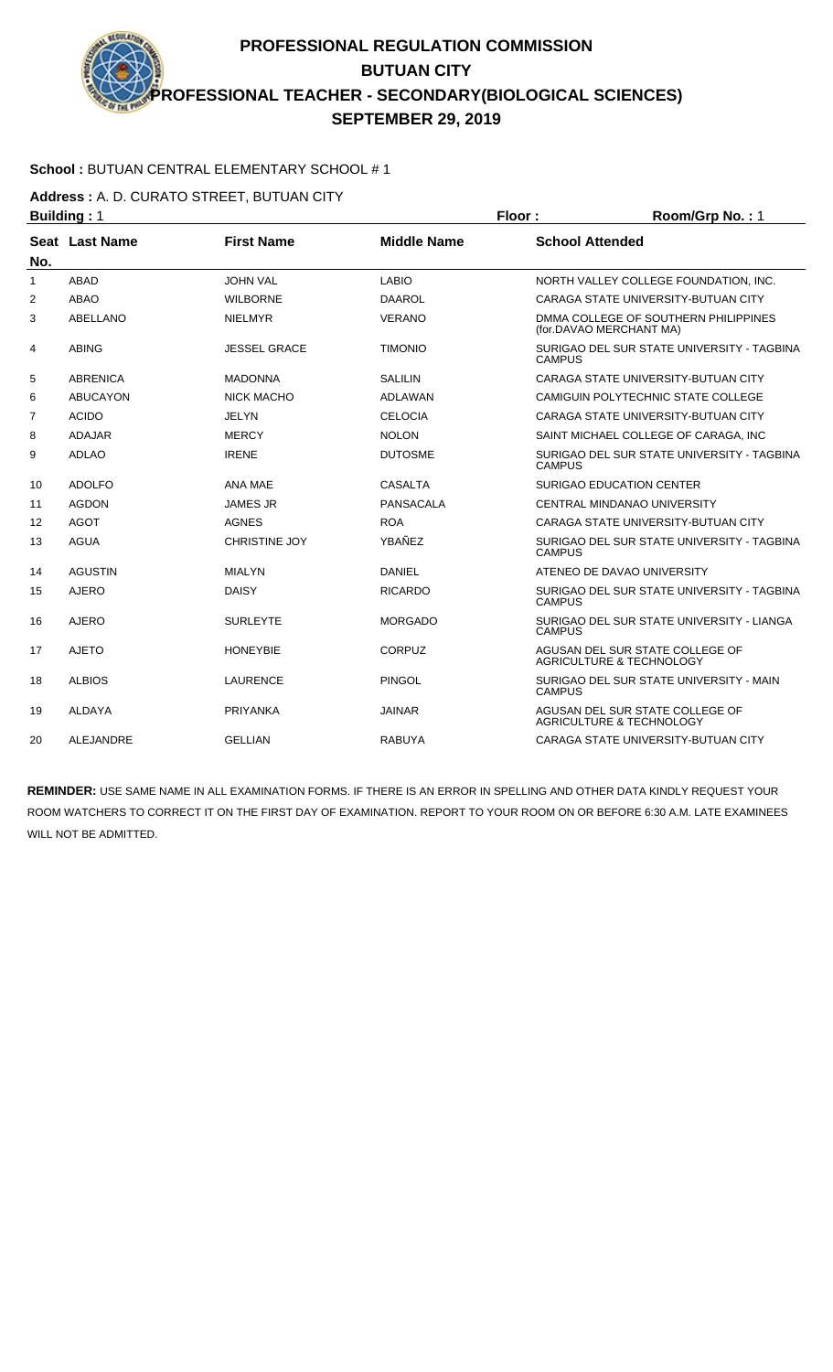### **School :** BUTUAN CENTRAL ELEMENTARY SCHOOL # 1

**Address :** A. D. CURATO STREET, BUTUAN CITY

|                | <b>Building: 1</b> |                      |                    | Floor:                 | Room/Grp No.: 1                                                        |
|----------------|--------------------|----------------------|--------------------|------------------------|------------------------------------------------------------------------|
|                | Seat Last Name     | <b>First Name</b>    | <b>Middle Name</b> | <b>School Attended</b> |                                                                        |
| No.            |                    |                      |                    |                        |                                                                        |
| $\mathbf{1}$   | <b>ABAD</b>        | <b>JOHN VAL</b>      | <b>LABIO</b>       |                        | NORTH VALLEY COLLEGE FOUNDATION, INC.                                  |
| $\overline{2}$ | <b>ABAO</b>        | <b>WILBORNE</b>      | <b>DAAROL</b>      |                        | CARAGA STATE UNIVERSITY-BUTUAN CITY                                    |
| 3              | <b>ABELLANO</b>    | <b>NIELMYR</b>       | <b>VERANO</b>      |                        | DMMA COLLEGE OF SOUTHERN PHILIPPINES<br>(for.DAVAO MERCHANT MA)        |
| 4              | <b>ABING</b>       | <b>JESSEL GRACE</b>  | <b>TIMONIO</b>     | <b>CAMPUS</b>          | SURIGAO DEL SUR STATE UNIVERSITY - TAGBINA                             |
| 5              | <b>ABRENICA</b>    | <b>MADONNA</b>       | <b>SALILIN</b>     |                        | CARAGA STATE UNIVERSITY-BUTUAN CITY                                    |
| 6              | <b>ABUCAYON</b>    | <b>NICK MACHO</b>    | <b>ADLAWAN</b>     |                        | CAMIGUIN POLYTECHNIC STATE COLLEGE                                     |
| $\overline{7}$ | <b>ACIDO</b>       | <b>JELYN</b>         | <b>CELOCIA</b>     |                        | CARAGA STATE UNIVERSITY-BUTUAN CITY                                    |
| 8              | <b>ADAJAR</b>      | <b>MERCY</b>         | <b>NOLON</b>       |                        | SAINT MICHAEL COLLEGE OF CARAGA. INC                                   |
| 9              | <b>ADLAO</b>       | <b>IRENE</b>         | <b>DUTOSME</b>     | CAMPUS                 | SURIGAO DEL SUR STATE UNIVERSITY - TAGBINA                             |
| 10             | <b>ADOLFO</b>      | ANA MAE              | <b>CASALTA</b>     |                        | <b>SURIGAO EDUCATION CENTER</b>                                        |
| 11             | <b>AGDON</b>       | <b>JAMES JR</b>      | <b>PANSACALA</b>   |                        | CENTRAL MINDANAO UNIVERSITY                                            |
| 12             | <b>AGOT</b>        | <b>AGNES</b>         | <b>ROA</b>         |                        | CARAGA STATE UNIVERSITY-BUTUAN CITY                                    |
| 13             | <b>AGUA</b>        | <b>CHRISTINE JOY</b> | YBAÑEZ             | <b>CAMPUS</b>          | SURIGAO DEL SUR STATE UNIVERSITY - TAGBINA                             |
| 14             | <b>AGUSTIN</b>     | <b>MIALYN</b>        | <b>DANIEL</b>      |                        | ATENEO DE DAVAO UNIVERSITY                                             |
| 15             | <b>AJERO</b>       | <b>DAISY</b>         | <b>RICARDO</b>     | <b>CAMPUS</b>          | SURIGAO DEL SUR STATE UNIVERSITY - TAGBINA                             |
| 16             | <b>AJERO</b>       | <b>SURLEYTE</b>      | <b>MORGADO</b>     | <b>CAMPUS</b>          | SURIGAO DEL SUR STATE UNIVERSITY - LIANGA                              |
| 17             | <b>AJETO</b>       | <b>HONEYBIE</b>      | CORPUZ             |                        | AGUSAN DEL SUR STATE COLLEGE OF<br><b>AGRICULTURE &amp; TECHNOLOGY</b> |
| 18             | <b>ALBIOS</b>      | <b>LAURENCE</b>      | <b>PINGOL</b>      | <b>CAMPUS</b>          | SURIGAO DEL SUR STATE UNIVERSITY - MAIN                                |
| 19             | <b>ALDAYA</b>      | <b>PRIYANKA</b>      | <b>JAINAR</b>      |                        | AGUSAN DEL SUR STATE COLLEGE OF<br>AGRICULTURE & TECHNOLOGY            |
| 20             | <b>ALEJANDRE</b>   | <b>GELLIAN</b>       | <b>RABUYA</b>      |                        | CARAGA STATE UNIVERSITY-BUTUAN CITY                                    |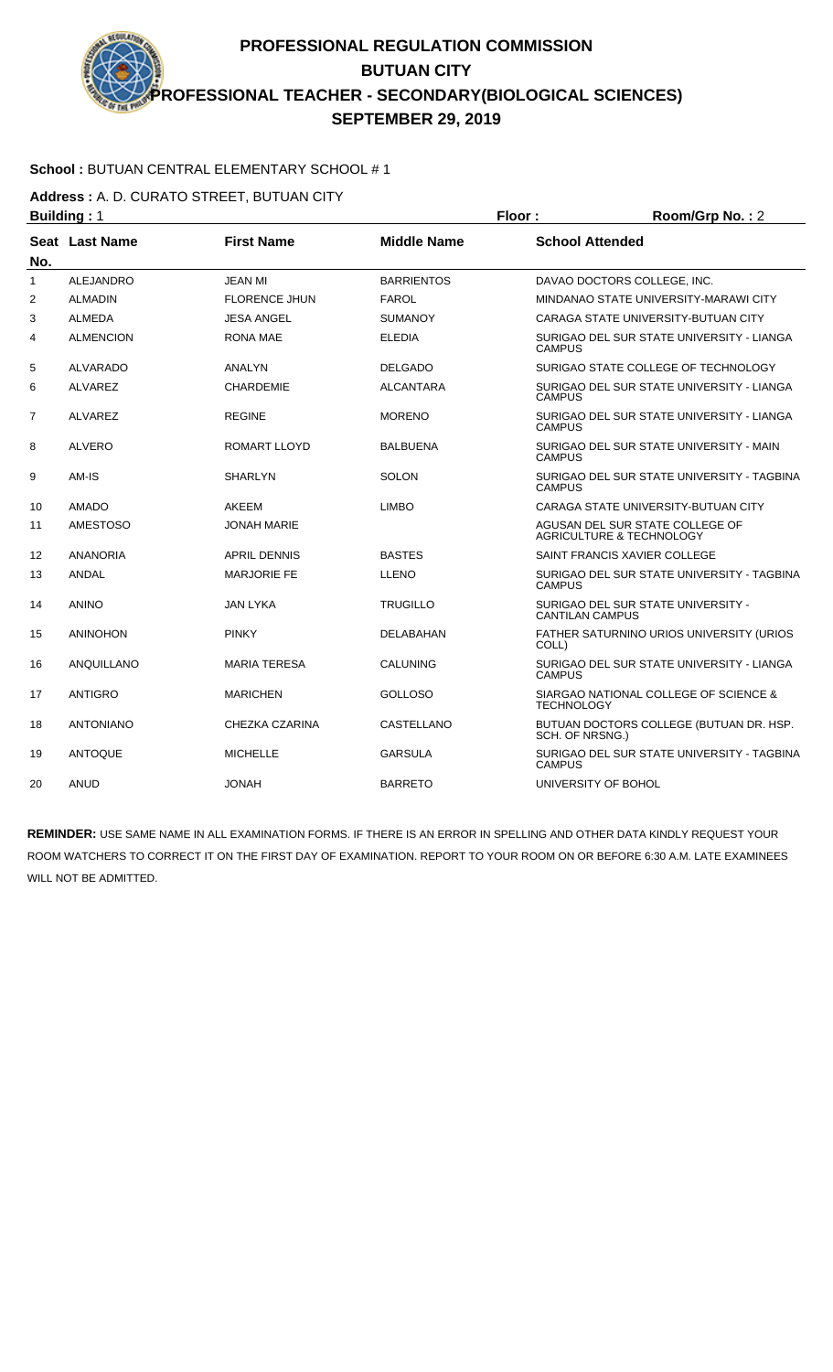### **School :** BUTUAN CENTRAL ELEMENTARY SCHOOL # 1

**Address :** A. D. CURATO STREET, BUTUAN CITY

|     | <b>Building: 1</b> |                      |                    | Floor:                 | Room/Grp No.: 2                                                        |
|-----|--------------------|----------------------|--------------------|------------------------|------------------------------------------------------------------------|
| No. | Seat Last Name     | <b>First Name</b>    | <b>Middle Name</b> | <b>School Attended</b> |                                                                        |
| 1   | <b>ALEJANDRO</b>   | <b>JEAN MI</b>       | <b>BARRIENTOS</b>  |                        | DAVAO DOCTORS COLLEGE, INC.                                            |
| 2   | <b>ALMADIN</b>     | <b>FLORENCE JHUN</b> | <b>FAROL</b>       |                        | MINDANAO STATE UNIVERSITY-MARAWI CITY                                  |
| 3   | <b>ALMEDA</b>      | <b>JESA ANGEL</b>    | <b>SUMANOY</b>     |                        | CARAGA STATE UNIVERSITY-BUTUAN CITY                                    |
| 4   | <b>ALMENCION</b>   | <b>RONA MAE</b>      | <b>ELEDIA</b>      | <b>CAMPUS</b>          | SURIGAO DEL SUR STATE UNIVERSITY - LIANGA                              |
| 5   | ALVARADO           | ANALYN               | <b>DELGADO</b>     |                        | SURIGAO STATE COLLEGE OF TECHNOLOGY                                    |
| 6   | <b>ALVAREZ</b>     | <b>CHARDEMIE</b>     | <b>ALCANTARA</b>   | <b>CAMPUS</b>          | SURIGAO DEL SUR STATE UNIVERSITY - LIANGA                              |
| 7   | <b>ALVAREZ</b>     | <b>REGINE</b>        | <b>MORENO</b>      | <b>CAMPUS</b>          | SURIGAO DEL SUR STATE UNIVERSITY - LIANGA                              |
| 8   | <b>ALVERO</b>      | <b>ROMART LLOYD</b>  | <b>BALBUENA</b>    | <b>CAMPUS</b>          | SURIGAO DEL SUR STATE UNIVERSITY - MAIN                                |
| 9   | AM-IS              | <b>SHARLYN</b>       | <b>SOLON</b>       | <b>CAMPUS</b>          | SURIGAO DEL SUR STATE UNIVERSITY - TAGBINA                             |
| 10  | <b>AMADO</b>       | AKEEM                | <b>LIMBO</b>       |                        | CARAGA STATE UNIVERSITY-BUTUAN CITY                                    |
| 11  | <b>AMESTOSO</b>    | <b>JONAH MARIE</b>   |                    |                        | AGUSAN DEL SUR STATE COLLEGE OF<br><b>AGRICULTURE &amp; TECHNOLOGY</b> |
| 12  | <b>ANANORIA</b>    | <b>APRIL DENNIS</b>  | <b>BASTES</b>      |                        | SAINT FRANCIS XAVIER COLLEGE                                           |
| 13  | <b>ANDAL</b>       | <b>MARJORIE FE</b>   | LLENO              | <b>CAMPUS</b>          | SURIGAO DEL SUR STATE UNIVERSITY - TAGBINA                             |
| 14  | <b>ANINO</b>       | JAN LYKA             | <b>TRUGILLO</b>    | <b>CANTILAN CAMPUS</b> | SURIGAO DEL SUR STATE UNIVERSITY -                                     |
| 15  | <b>ANINOHON</b>    | <b>PINKY</b>         | <b>DELABAHAN</b>   | COLL)                  | FATHER SATURNINO URIOS UNIVERSITY (URIOS                               |
| 16  | ANQUILLANO         | <b>MARIA TERESA</b>  | <b>CALUNING</b>    | <b>CAMPUS</b>          | SURIGAO DEL SUR STATE UNIVERSITY - LIANGA                              |
| 17  | <b>ANTIGRO</b>     | <b>MARICHEN</b>      | <b>GOLLOSO</b>     | <b>TECHNOLOGY</b>      | SIARGAO NATIONAL COLLEGE OF SCIENCE &                                  |
| 18  | <b>ANTONIANO</b>   | CHEZKA CZARINA       | CASTELLANO         | SCH. OF NRSNG.)        | BUTUAN DOCTORS COLLEGE (BUTUAN DR. HSP.                                |
| 19  | <b>ANTOQUE</b>     | <b>MICHELLE</b>      | <b>GARSULA</b>     | <b>CAMPUS</b>          | SURIGAO DEL SUR STATE UNIVERSITY - TAGBINA                             |
| 20  | <b>ANUD</b>        | <b>JONAH</b>         | <b>BARRETO</b>     | UNIVERSITY OF BOHOL    |                                                                        |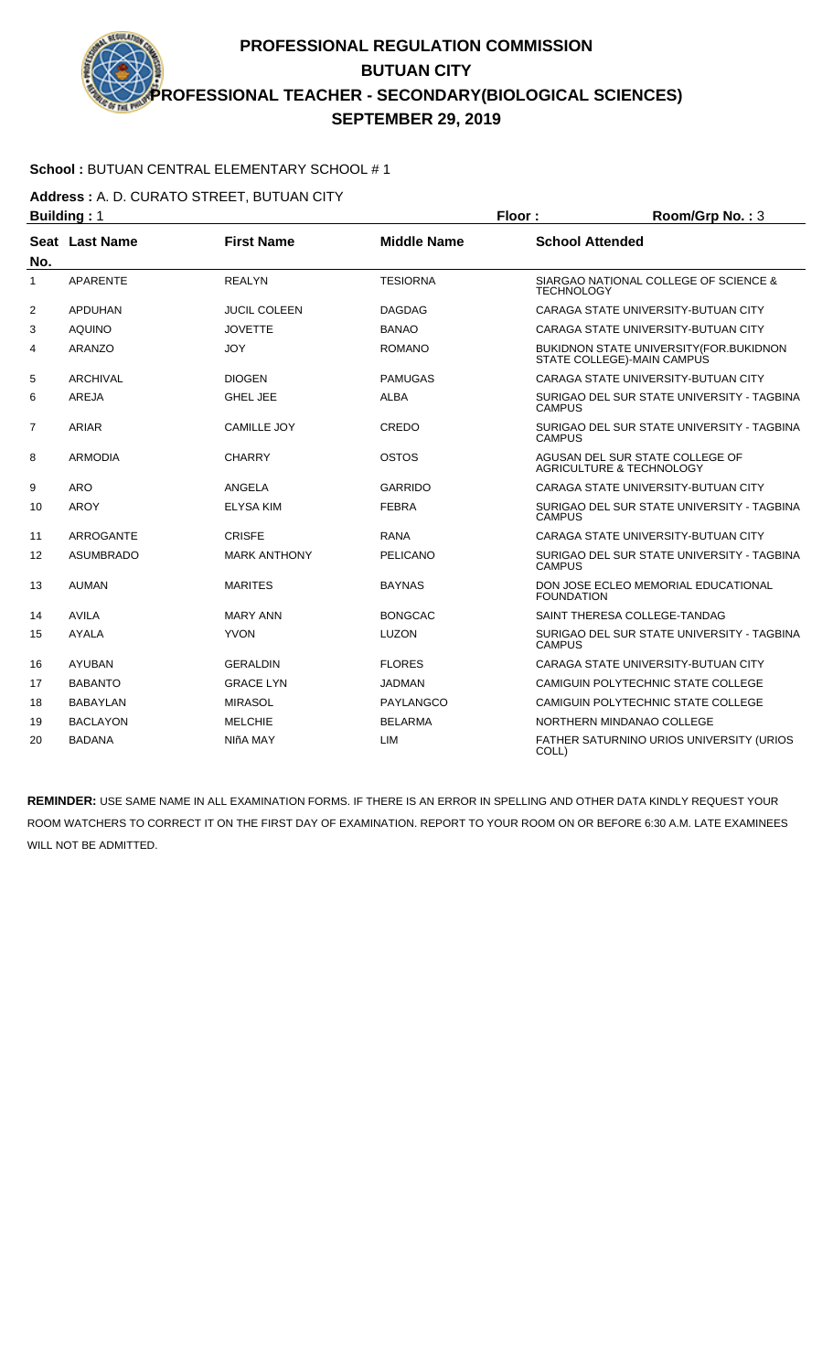### **School :** BUTUAN CENTRAL ELEMENTARY SCHOOL # 1

**Address :** A. D. CURATO STREET, BUTUAN CITY

|                | <b>Building: 1</b>    |                     |                    | Floor:<br>Room/Grp No.: 3 |                                                                                |
|----------------|-----------------------|---------------------|--------------------|---------------------------|--------------------------------------------------------------------------------|
| No.            | <b>Seat Last Name</b> | <b>First Name</b>   | <b>Middle Name</b> | <b>School Attended</b>    |                                                                                |
| 1              | <b>APARENTE</b>       | <b>REALYN</b>       | <b>TESIORNA</b>    | <b>TECHNOLOGY</b>         | SIARGAO NATIONAL COLLEGE OF SCIENCE &                                          |
| 2              | <b>APDUHAN</b>        | <b>JUCIL COLEEN</b> | <b>DAGDAG</b>      |                           | CARAGA STATE UNIVERSITY-BUTUAN CITY                                            |
| 3              | <b>AQUINO</b>         | <b>JOVETTE</b>      | <b>BANAO</b>       |                           | CARAGA STATE UNIVERSITY-BUTUAN CITY                                            |
| 4              | <b>ARANZO</b>         | <b>JOY</b>          | <b>ROMANO</b>      |                           | <b>BUKIDNON STATE UNIVERSITY (FOR. BUKIDNON)</b><br>STATE COLLEGE)-MAIN CAMPUS |
| 5              | <b>ARCHIVAL</b>       | <b>DIOGEN</b>       | <b>PAMUGAS</b>     |                           | CARAGA STATE UNIVERSITY-BUTUAN CITY                                            |
| 6              | <b>AREJA</b>          | <b>GHEL JEE</b>     | <b>ALBA</b>        | <b>CAMPUS</b>             | SURIGAO DEL SUR STATE UNIVERSITY - TAGBINA                                     |
| $\overline{7}$ | ARIAR                 | <b>CAMILLE JOY</b>  | CREDO              | <b>CAMPUS</b>             | SURIGAO DEL SUR STATE UNIVERSITY - TAGBINA                                     |
| 8              | <b>ARMODIA</b>        | <b>CHARRY</b>       | OSTOS              |                           | AGUSAN DEL SUR STATE COLLEGE OF<br><b>AGRICULTURE &amp; TECHNOLOGY</b>         |
| 9              | <b>ARO</b>            | ANGELA              | <b>GARRIDO</b>     |                           | CARAGA STATE UNIVERSITY-BUTUAN CITY                                            |
| 10             | <b>AROY</b>           | <b>ELYSA KIM</b>    | <b>FEBRA</b>       | <b>CAMPUS</b>             | SURIGAO DEL SUR STATE UNIVERSITY - TAGBINA                                     |
| 11             | <b>ARROGANTE</b>      | <b>CRISFE</b>       | <b>RANA</b>        |                           | CARAGA STATE UNIVERSITY-BUTUAN CITY                                            |
| 12             | <b>ASUMBRADO</b>      | <b>MARK ANTHONY</b> | PELICANO           | <b>CAMPUS</b>             | SURIGAO DEL SUR STATE UNIVERSITY - TAGBINA                                     |
| 13             | <b>AUMAN</b>          | <b>MARITES</b>      | <b>BAYNAS</b>      | <b>FOUNDATION</b>         | DON JOSE ECLEO MEMORIAL EDUCATIONAL                                            |
| 14             | <b>AVILA</b>          | <b>MARY ANN</b>     | <b>BONGCAC</b>     |                           | SAINT THERESA COLLEGE-TANDAG                                                   |
| 15             | <b>AYALA</b>          | <b>YVON</b>         | <b>LUZON</b>       | <b>CAMPUS</b>             | SURIGAO DEL SUR STATE UNIVERSITY - TAGBINA                                     |
| 16             | <b>AYUBAN</b>         | <b>GERALDIN</b>     | <b>FLORES</b>      |                           | CARAGA STATE UNIVERSITY-BUTUAN CITY                                            |
| 17             | <b>BABANTO</b>        | <b>GRACE LYN</b>    | <b>JADMAN</b>      |                           | CAMIGUIN POLYTECHNIC STATE COLLEGE                                             |
| 18             | <b>BABAYLAN</b>       | <b>MIRASOL</b>      | PAYLANGCO          |                           | CAMIGUIN POLYTECHNIC STATE COLLEGE                                             |
| 19             | <b>BACLAYON</b>       | <b>MELCHIE</b>      | <b>BELARMA</b>     |                           | NORTHERN MINDANAO COLLEGE                                                      |
| 20             | <b>BADANA</b>         | NIñA MAY            | <b>LIM</b>         | COLL)                     | <b>FATHER SATURNINO URIOS UNIVERSITY (URIOS)</b>                               |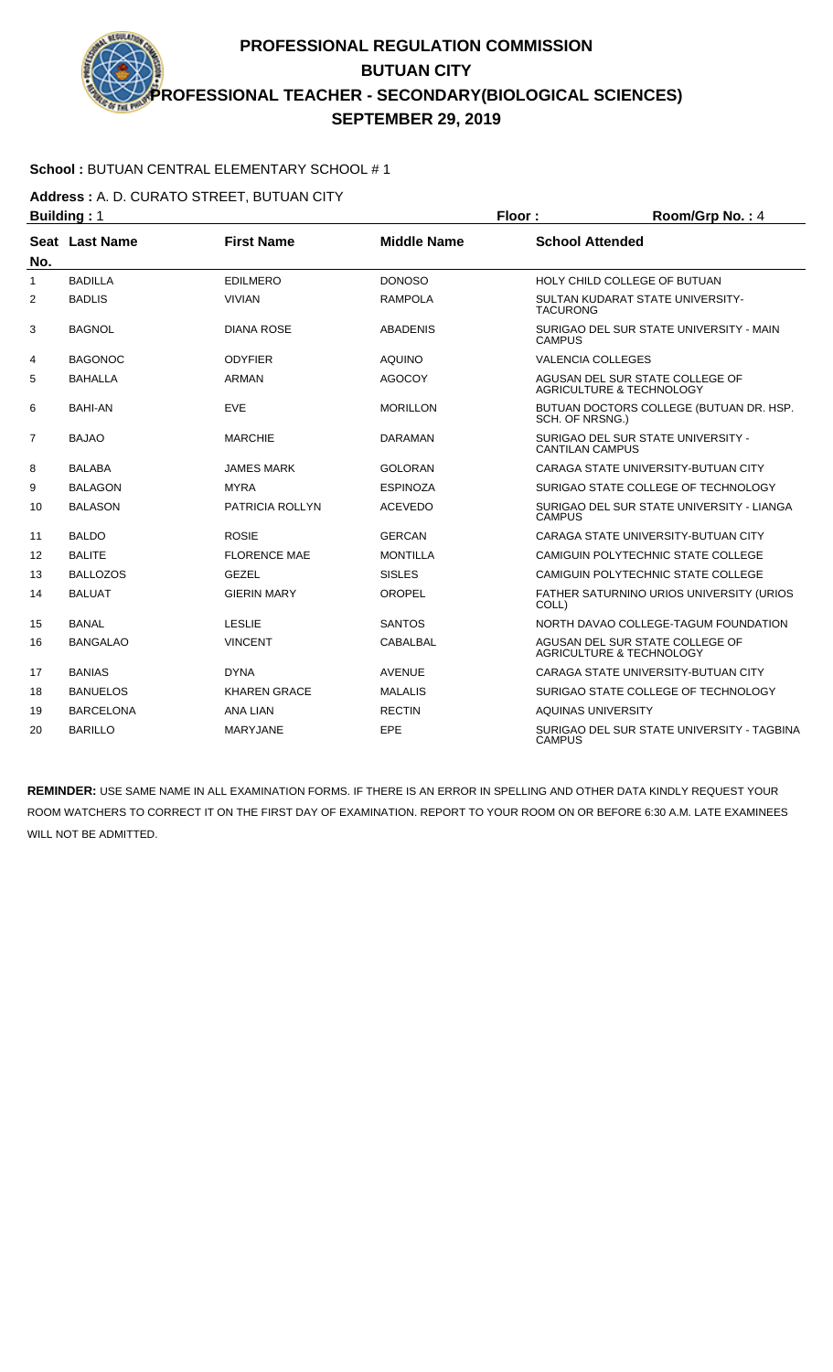### **School :** BUTUAN CENTRAL ELEMENTARY SCHOOL # 1

**Address :** A. D. CURATO STREET, BUTUAN CITY

|                | <b>Building: 1</b> |                     |                    | Floor:                   | Room/Grp No.: 4                                                        |
|----------------|--------------------|---------------------|--------------------|--------------------------|------------------------------------------------------------------------|
|                | Seat Last Name     | <b>First Name</b>   | <b>Middle Name</b> | <b>School Attended</b>   |                                                                        |
| No.            |                    |                     |                    |                          |                                                                        |
| $\mathbf{1}$   | <b>BADILLA</b>     | <b>EDILMERO</b>     | <b>DONOSO</b>      |                          | HOLY CHILD COLLEGE OF BUTUAN                                           |
| 2              | <b>BADLIS</b>      | <b>VIVIAN</b>       | <b>RAMPOLA</b>     | <b>TACURONG</b>          | SULTAN KUDARAT STATE UNIVERSITY-                                       |
| 3              | <b>BAGNOL</b>      | <b>DIANA ROSE</b>   | <b>ABADENIS</b>    | <b>CAMPUS</b>            | SURIGAO DEL SUR STATE UNIVERSITY - MAIN                                |
| 4              | <b>BAGONOC</b>     | <b>ODYFIER</b>      | <b>AQUINO</b>      | <b>VALENCIA COLLEGES</b> |                                                                        |
| 5              | <b>BAHALLA</b>     | ARMAN               | <b>AGOCOY</b>      |                          | AGUSAN DEL SUR STATE COLLEGE OF<br><b>AGRICULTURE &amp; TECHNOLOGY</b> |
| 6              | <b>BAHI-AN</b>     | <b>EVE</b>          | <b>MORILLON</b>    | SCH. OF NRSNG.)          | BUTUAN DOCTORS COLLEGE (BUTUAN DR. HSP.                                |
| $\overline{7}$ | <b>BAJAO</b>       | <b>MARCHIE</b>      | <b>DARAMAN</b>     | <b>CANTILAN CAMPUS</b>   | SURIGAO DEL SUR STATE UNIVERSITY -                                     |
| 8              | <b>BALABA</b>      | <b>JAMES MARK</b>   | <b>GOLORAN</b>     |                          | CARAGA STATE UNIVERSITY-BUTUAN CITY                                    |
| 9              | <b>BALAGON</b>     | <b>MYRA</b>         | <b>ESPINOZA</b>    |                          | SURIGAO STATE COLLEGE OF TECHNOLOGY                                    |
| 10             | <b>BALASON</b>     | PATRICIA ROLLYN     | <b>ACEVEDO</b>     | <b>CAMPUS</b>            | SURIGAO DEL SUR STATE UNIVERSITY - LIANGA                              |
| 11             | <b>BALDO</b>       | <b>ROSIE</b>        | <b>GERCAN</b>      |                          | CARAGA STATE UNIVERSITY-BUTUAN CITY                                    |
| 12             | <b>BALITE</b>      | <b>FLORENCE MAE</b> | <b>MONTILLA</b>    |                          | CAMIGUIN POLYTECHNIC STATE COLLEGE                                     |
| 13             | <b>BALLOZOS</b>    | <b>GEZEL</b>        | <b>SISLES</b>      |                          | CAMIGUIN POLYTECHNIC STATE COLLEGE                                     |
| 14             | <b>BALUAT</b>      | <b>GIERIN MARY</b>  | OROPEL             | COLL)                    | FATHER SATURNINO URIOS UNIVERSITY (URIOS                               |
| 15             | <b>BANAL</b>       | <b>LESLIE</b>       | <b>SANTOS</b>      |                          | NORTH DAVAO COLLEGE-TAGUM FOUNDATION                                   |
| 16             | <b>BANGALAO</b>    | <b>VINCENT</b>      | CABALBAL           |                          | AGUSAN DEL SUR STATE COLLEGE OF<br><b>AGRICULTURE &amp; TECHNOLOGY</b> |
| 17             | <b>BANIAS</b>      | <b>DYNA</b>         | <b>AVENUE</b>      |                          | CARAGA STATE UNIVERSITY-BUTUAN CITY                                    |
| 18             | <b>BANUELOS</b>    | <b>KHAREN GRACE</b> | <b>MALALIS</b>     |                          | SURIGAO STATE COLLEGE OF TECHNOLOGY                                    |
| 19             | <b>BARCELONA</b>   | <b>ANA LIAN</b>     | <b>RECTIN</b>      | AQUINAS UNIVERSITY       |                                                                        |
| 20             | <b>BARILLO</b>     | <b>MARYJANE</b>     | EPE                | <b>CAMPUS</b>            | SURIGAO DEL SUR STATE UNIVERSITY - TAGBINA                             |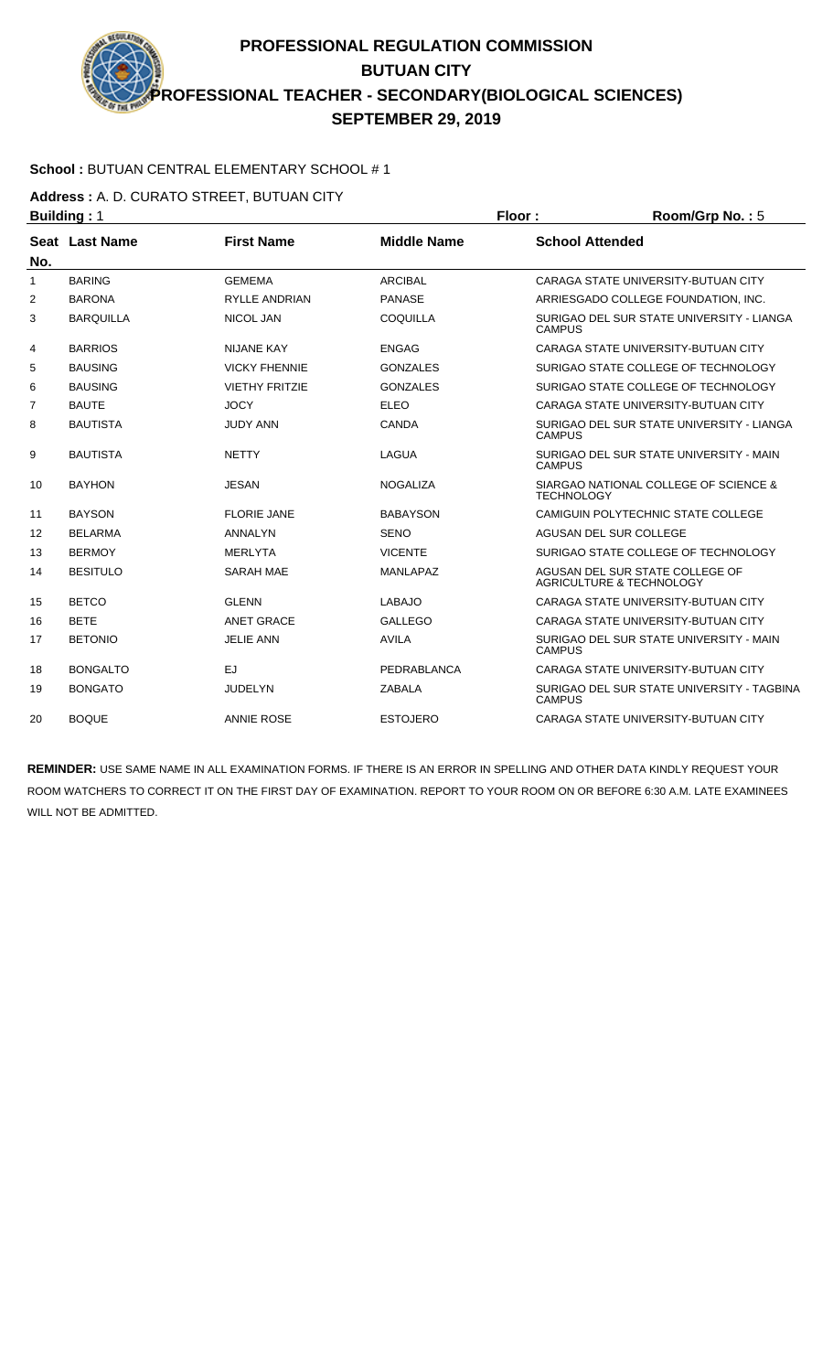### **School :** BUTUAN CENTRAL ELEMENTARY SCHOOL # 1

**Address :** A. D. CURATO STREET, BUTUAN CITY

|                   | <b>Building: 1</b> |                       |                    | Floor:                                                      | Room/Grp No.: 5                                                        |
|-------------------|--------------------|-----------------------|--------------------|-------------------------------------------------------------|------------------------------------------------------------------------|
|                   | Seat Last Name     | <b>First Name</b>     | <b>Middle Name</b> | <b>School Attended</b>                                      |                                                                        |
| No.               |                    |                       |                    |                                                             |                                                                        |
| $\mathbf{1}$      | <b>BARING</b>      | <b>GEMEMA</b>         | <b>ARCIBAL</b>     |                                                             | CARAGA STATE UNIVERSITY-BUTUAN CITY                                    |
| 2                 | <b>BARONA</b>      | <b>RYLLE ANDRIAN</b>  | <b>PANASE</b>      |                                                             | ARRIESGADO COLLEGE FOUNDATION, INC.                                    |
| 3                 | <b>BARQUILLA</b>   | <b>NICOL JAN</b>      | COQUILLA           | <b>CAMPUS</b>                                               | SURIGAO DEL SUR STATE UNIVERSITY - LIANGA                              |
| 4                 | <b>BARRIOS</b>     | <b>NIJANE KAY</b>     | <b>ENGAG</b>       |                                                             | CARAGA STATE UNIVERSITY-BUTUAN CITY                                    |
| 5                 | <b>BAUSING</b>     | <b>VICKY FHENNIE</b>  | <b>GONZALES</b>    |                                                             | SURIGAO STATE COLLEGE OF TECHNOLOGY                                    |
| 6                 | <b>BAUSING</b>     | <b>VIETHY FRITZIE</b> | <b>GONZALES</b>    |                                                             | SURIGAO STATE COLLEGE OF TECHNOLOGY                                    |
| $\overline{7}$    | <b>BAUTE</b>       | <b>JOCY</b>           | <b>ELEO</b>        |                                                             | CARAGA STATE UNIVERSITY-BUTUAN CITY                                    |
| 8                 | <b>BAUTISTA</b>    | <b>JUDY ANN</b>       | CANDA              | <b>CAMPUS</b>                                               | SURIGAO DEL SUR STATE UNIVERSITY - LIANGA                              |
| 9                 | <b>BAUTISTA</b>    | <b>NETTY</b>          | LAGUA              | SURIGAO DEL SUR STATE UNIVERSITY - MAIN<br><b>CAMPUS</b>    |                                                                        |
| 10                | <b>BAYHON</b>      | <b>JESAN</b>          | <b>NOGALIZA</b>    | <b>TECHNOLOGY</b>                                           | SIARGAO NATIONAL COLLEGE OF SCIENCE &                                  |
| 11                | <b>BAYSON</b>      | <b>FLORIE JANE</b>    | <b>BABAYSON</b>    |                                                             | CAMIGUIN POLYTECHNIC STATE COLLEGE                                     |
| $12 \overline{ }$ | <b>BELARMA</b>     | <b>ANNALYN</b>        | <b>SENO</b>        |                                                             | AGUSAN DEL SUR COLLEGE                                                 |
| 13                | <b>BERMOY</b>      | <b>MERLYTA</b>        | <b>VICENTE</b>     |                                                             | SURIGAO STATE COLLEGE OF TECHNOLOGY                                    |
| 14                | <b>BESITULO</b>    | <b>SARAH MAE</b>      | <b>MANLAPAZ</b>    |                                                             | AGUSAN DEL SUR STATE COLLEGE OF<br><b>AGRICULTURE &amp; TECHNOLOGY</b> |
| 15                | <b>BETCO</b>       | <b>GLENN</b>          | <b>LABAJO</b>      |                                                             | CARAGA STATE UNIVERSITY-BUTUAN CITY                                    |
| 16                | <b>BETE</b>        | <b>ANET GRACE</b>     | <b>GALLEGO</b>     |                                                             | CARAGA STATE UNIVERSITY-BUTUAN CITY                                    |
| 17                | <b>BETONIO</b>     | <b>JELIE ANN</b>      | <b>AVILA</b>       | <b>CAMPUS</b>                                               | SURIGAO DEL SUR STATE UNIVERSITY - MAIN                                |
| 18                | <b>BONGALTO</b>    | <b>EJ</b>             | PEDRABLANCA        |                                                             | CARAGA STATE UNIVERSITY-BUTUAN CITY                                    |
| 19                | <b>BONGATO</b>     | <b>JUDELYN</b>        | <b>ZABALA</b>      | SURIGAO DEL SUR STATE UNIVERSITY - TAGBINA<br><b>CAMPUS</b> |                                                                        |
| 20                | <b>BOQUE</b>       | <b>ANNIE ROSE</b>     | <b>ESTOJERO</b>    |                                                             | CARAGA STATE UNIVERSITY-BUTUAN CITY                                    |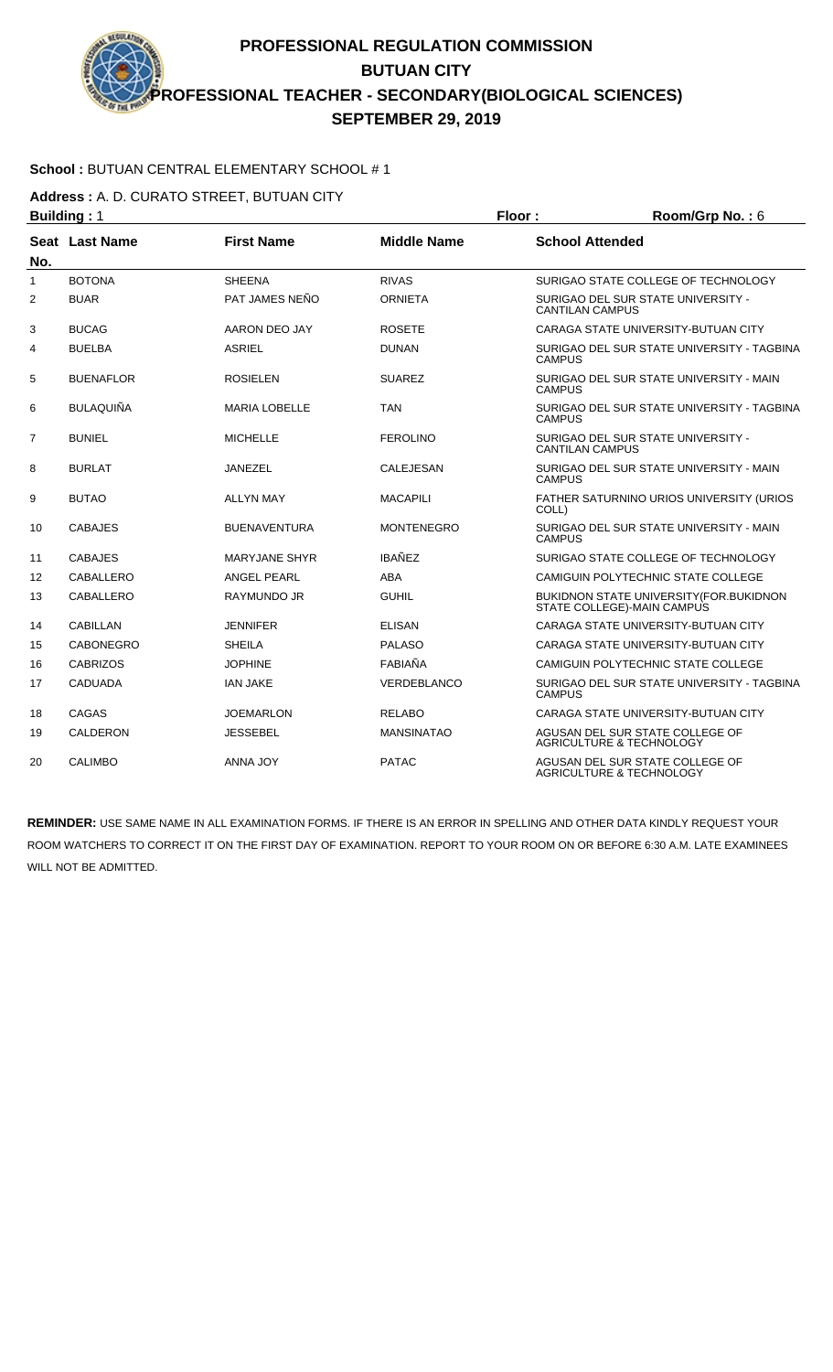### **School :** BUTUAN CENTRAL ELEMENTARY SCHOOL # 1

**Address :** A. D. CURATO STREET, BUTUAN CITY

|                   | <b>Building: 1</b>    |                      |                    | Floor:<br>Room/Grp No.: 6 |                                                                                |
|-------------------|-----------------------|----------------------|--------------------|---------------------------|--------------------------------------------------------------------------------|
| No.               | <b>Seat Last Name</b> | <b>First Name</b>    | <b>Middle Name</b> | <b>School Attended</b>    |                                                                                |
| 1                 | <b>BOTONA</b>         | <b>SHEENA</b>        | <b>RIVAS</b>       |                           | SURIGAO STATE COLLEGE OF TECHNOLOGY                                            |
| 2                 | <b>BUAR</b>           | PAT JAMES NEÑO       | <b>ORNIETA</b>     | <b>CANTILAN CAMPUS</b>    | SURIGAO DEL SUR STATE UNIVERSITY -                                             |
| 3                 | <b>BUCAG</b>          | AARON DEO JAY        | <b>ROSETE</b>      |                           | CARAGA STATE UNIVERSITY-BUTUAN CITY                                            |
| 4                 | <b>BUELBA</b>         | <b>ASRIEL</b>        | <b>DUNAN</b>       | <b>CAMPUS</b>             | SURIGAO DEL SUR STATE UNIVERSITY - TAGBINA                                     |
| 5                 | <b>BUENAFLOR</b>      | <b>ROSIELEN</b>      | <b>SUAREZ</b>      | <b>CAMPUS</b>             | SURIGAO DEL SUR STATE UNIVERSITY - MAIN                                        |
| 6                 | <b>BULAQUIÑA</b>      | <b>MARIA LOBELLE</b> | <b>TAN</b>         | <b>CAMPUS</b>             | SURIGAO DEL SUR STATE UNIVERSITY - TAGBINA                                     |
| $\overline{7}$    | <b>BUNIEL</b>         | <b>MICHELLE</b>      | <b>FEROLINO</b>    | <b>CANTILAN CAMPUS</b>    | SURIGAO DEL SUR STATE UNIVERSITY -                                             |
| 8                 | <b>BURLAT</b>         | <b>JANEZEL</b>       | <b>CALEJESAN</b>   | <b>CAMPUS</b>             | SURIGAO DEL SUR STATE UNIVERSITY - MAIN                                        |
| 9                 | <b>BUTAO</b>          | <b>ALLYN MAY</b>     | <b>MACAPILI</b>    | COLL)                     | FATHER SATURNINO URIOS UNIVERSITY (URIOS                                       |
| 10                | <b>CABAJES</b>        | <b>BUENAVENTURA</b>  | <b>MONTENEGRO</b>  | <b>CAMPUS</b>             | SURIGAO DEL SUR STATE UNIVERSITY - MAIN                                        |
| 11                | <b>CABAJES</b>        | <b>MARYJANE SHYR</b> | <b>IBAÑEZ</b>      |                           | SURIGAO STATE COLLEGE OF TECHNOLOGY                                            |
| $12 \overline{ }$ | CABALLERO             | <b>ANGEL PEARL</b>   | ABA                |                           | CAMIGUIN POLYTECHNIC STATE COLLEGE                                             |
| 13                | CABALLERO             | <b>RAYMUNDO JR</b>   | <b>GUHIL</b>       |                           | <b>BUKIDNON STATE UNIVERSITY (FOR. BUKIDNON)</b><br>STATE COLLEGE)-MAIN CAMPUS |
| 14                | <b>CABILLAN</b>       | <b>JENNIFER</b>      | <b>ELISAN</b>      |                           | CARAGA STATE UNIVERSITY-BUTUAN CITY                                            |
| 15                | <b>CABONEGRO</b>      | <b>SHEILA</b>        | <b>PALASO</b>      |                           | CARAGA STATE UNIVERSITY-BUTUAN CITY                                            |
| 16                | <b>CABRIZOS</b>       | <b>JOPHINE</b>       | FABIAÑA            |                           | CAMIGUIN POLYTECHNIC STATE COLLEGE                                             |
| 17                | <b>CADUADA</b>        | <b>IAN JAKE</b>      | VERDEBLANCO        | <b>CAMPUS</b>             | SURIGAO DEL SUR STATE UNIVERSITY - TAGBINA                                     |
| 18                | <b>CAGAS</b>          | <b>JOEMARLON</b>     | <b>RELABO</b>      |                           | CARAGA STATE UNIVERSITY-BUTUAN CITY                                            |
| 19                | <b>CALDERON</b>       | <b>JESSEBEL</b>      | <b>MANSINATAO</b>  |                           | AGUSAN DEL SUR STATE COLLEGE OF<br>AGRICULTURE & TECHNOLOGY                    |
| 20                | <b>CALIMBO</b>        | ANNA JOY             | <b>PATAC</b>       |                           | AGUSAN DEL SUR STATE COLLEGE OF<br>AGRICULTURE & TECHNOLOGY                    |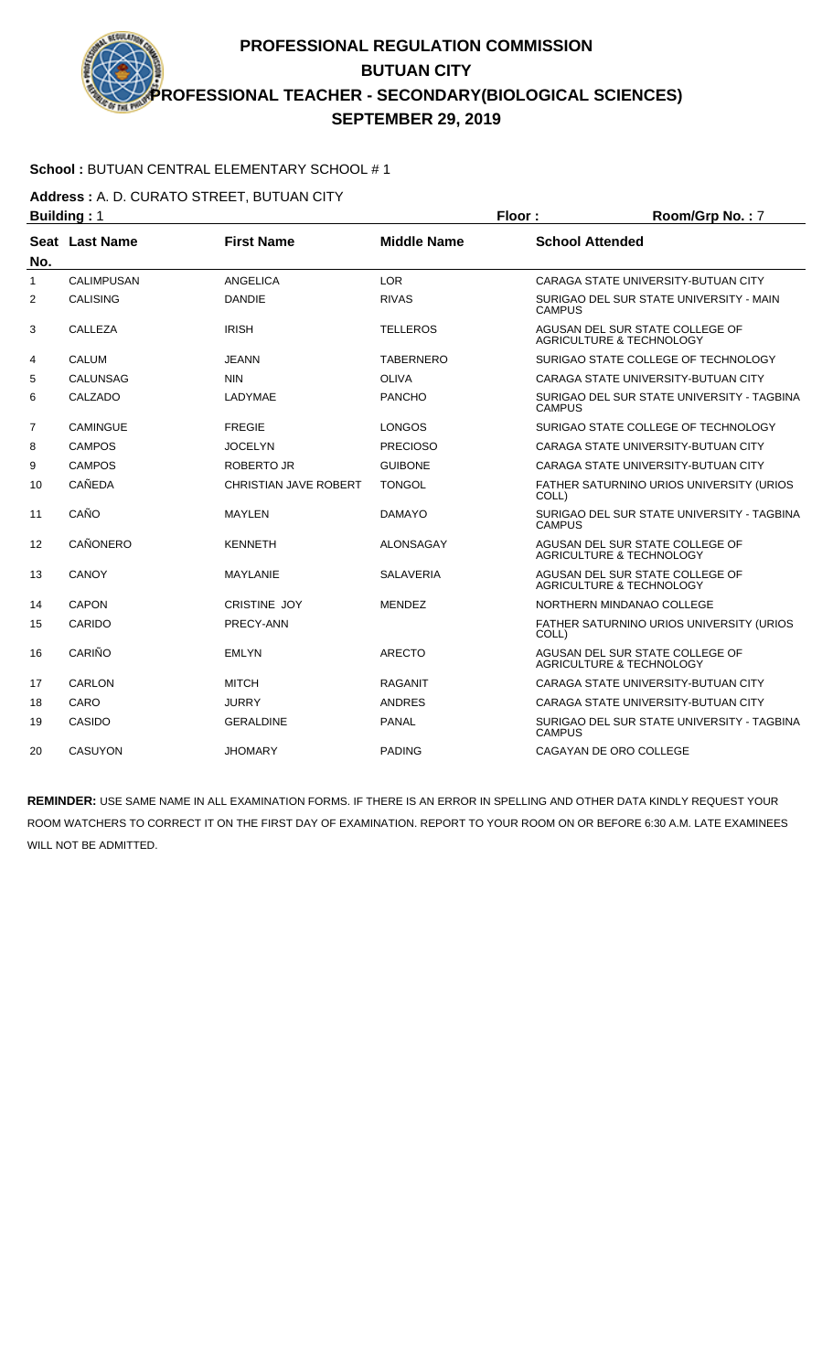### **School :** BUTUAN CENTRAL ELEMENTARY SCHOOL # 1

**Address :** A. D. CURATO STREET, BUTUAN CITY

|                | <b>Building: 1</b> |                              |                    | Floor:                 | Room/Grp No.: 7                                                        |
|----------------|--------------------|------------------------------|--------------------|------------------------|------------------------------------------------------------------------|
|                | Seat Last Name     | <b>First Name</b>            | <b>Middle Name</b> | <b>School Attended</b> |                                                                        |
| No.            |                    |                              |                    |                        |                                                                        |
| 1              | <b>CALIMPUSAN</b>  | ANGELICA                     | <b>LOR</b>         |                        | CARAGA STATE UNIVERSITY-BUTUAN CITY                                    |
| 2              | <b>CALISING</b>    | <b>DANDIE</b>                | <b>RIVAS</b>       | <b>CAMPUS</b>          | SURIGAO DEL SUR STATE UNIVERSITY - MAIN                                |
| 3              | CALLEZA            | <b>IRISH</b>                 | <b>TELLEROS</b>    |                        | AGUSAN DEL SUR STATE COLLEGE OF<br><b>AGRICULTURE &amp; TECHNOLOGY</b> |
| 4              | <b>CALUM</b>       | JEANN                        | <b>TABERNERO</b>   |                        | SURIGAO STATE COLLEGE OF TECHNOLOGY                                    |
| 5              | <b>CALUNSAG</b>    | <b>NIN</b>                   | <b>OLIVA</b>       |                        | CARAGA STATE UNIVERSITY-BUTUAN CITY                                    |
| 6              | CALZADO            | LADYMAE                      | <b>PANCHO</b>      | <b>CAMPUS</b>          | SURIGAO DEL SUR STATE UNIVERSITY - TAGBINA                             |
| $\overline{7}$ | <b>CAMINGUE</b>    | <b>FREGIE</b>                | <b>LONGOS</b>      |                        | SURIGAO STATE COLLEGE OF TECHNOLOGY                                    |
| 8              | <b>CAMPOS</b>      | <b>JOCELYN</b>               | <b>PRECIOSO</b>    |                        | CARAGA STATE UNIVERSITY-BUTUAN CITY                                    |
| 9              | <b>CAMPOS</b>      | ROBERTO JR                   | <b>GUIBONE</b>     |                        | CARAGA STATE UNIVERSITY-BUTUAN CITY                                    |
| 10             | CAÑEDA             | <b>CHRISTIAN JAVE ROBERT</b> | <b>TONGOL</b>      | COLL)                  | FATHER SATURNINO URIOS UNIVERSITY (URIOS                               |
| 11             | CAÑO               | <b>MAYLEN</b>                | <b>DAMAYO</b>      | <b>CAMPUS</b>          | SURIGAO DEL SUR STATE UNIVERSITY - TAGBINA                             |
| 12             | CAÑONERO           | <b>KENNETH</b>               | ALONSAGAY          |                        | AGUSAN DEL SUR STATE COLLEGE OF<br><b>AGRICULTURE &amp; TECHNOLOGY</b> |
| 13             | CANOY              | <b>MAYLANIE</b>              | <b>SALAVERIA</b>   |                        | AGUSAN DEL SUR STATE COLLEGE OF<br><b>AGRICULTURE &amp; TECHNOLOGY</b> |
| 14             | CAPON              | <b>CRISTINE JOY</b>          | <b>MENDEZ</b>      |                        | NORTHERN MINDANAO COLLEGE                                              |
| 15             | CARIDO             | PRECY-ANN                    |                    | COLL)                  | FATHER SATURNINO URIOS UNIVERSITY (URIOS                               |
| 16             | CARIÑO             | <b>EMLYN</b>                 | <b>ARECTO</b>      |                        | AGUSAN DEL SUR STATE COLLEGE OF<br><b>AGRICULTURE &amp; TECHNOLOGY</b> |
| 17             | <b>CARLON</b>      | <b>MITCH</b>                 | <b>RAGANIT</b>     |                        | CARAGA STATE UNIVERSITY-BUTUAN CITY                                    |
| 18             | CARO               | <b>JURRY</b>                 | <b>ANDRES</b>      |                        | CARAGA STATE UNIVERSITY-BUTUAN CITY                                    |
| 19             | CASIDO             | <b>GERALDINE</b>             | <b>PANAL</b>       | <b>CAMPUS</b>          | SURIGAO DEL SUR STATE UNIVERSITY - TAGBINA                             |
| 20             | <b>CASUYON</b>     | <b>JHOMARY</b>               | <b>PADING</b>      |                        | CAGAYAN DE ORO COLLEGE                                                 |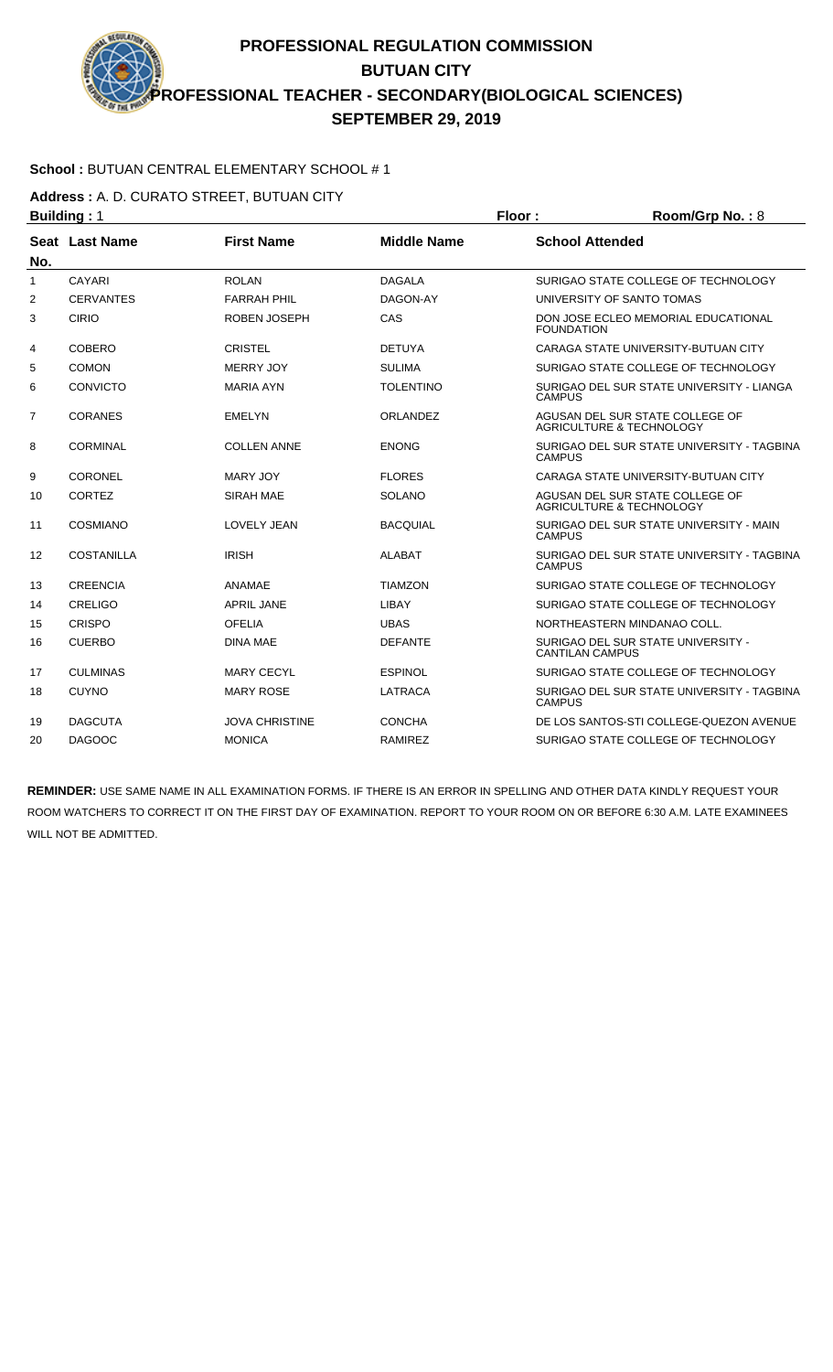### **School :** BUTUAN CENTRAL ELEMENTARY SCHOOL # 1

**Address :** A. D. CURATO STREET, BUTUAN CITY

|                | <b>Building: 1</b> |                       |                    | Floor:<br>Room/Grp No.: 8                                   |                                                                        |
|----------------|--------------------|-----------------------|--------------------|-------------------------------------------------------------|------------------------------------------------------------------------|
|                | Seat Last Name     | <b>First Name</b>     | <b>Middle Name</b> | <b>School Attended</b>                                      |                                                                        |
| No.            |                    |                       |                    |                                                             |                                                                        |
| $\mathbf{1}$   | CAYARI             | <b>ROLAN</b>          | <b>DAGALA</b>      |                                                             | SURIGAO STATE COLLEGE OF TECHNOLOGY                                    |
| $\overline{2}$ | <b>CERVANTES</b>   | <b>FARRAH PHIL</b>    | DAGON-AY           |                                                             | UNIVERSITY OF SANTO TOMAS                                              |
| 3              | <b>CIRIO</b>       | ROBEN JOSEPH          | CAS                | <b>FOUNDATION</b>                                           | DON JOSE ECLEO MEMORIAL EDUCATIONAL                                    |
| 4              | <b>COBERO</b>      | <b>CRISTEL</b>        | <b>DETUYA</b>      |                                                             | CARAGA STATE UNIVERSITY-BUTUAN CITY                                    |
| 5              | <b>COMON</b>       | <b>MERRY JOY</b>      | <b>SULIMA</b>      |                                                             | SURIGAO STATE COLLEGE OF TECHNOLOGY                                    |
| 6              | <b>CONVICTO</b>    | <b>MARIA AYN</b>      | <b>TOLENTINO</b>   | <b>CAMPUS</b>                                               | SURIGAO DEL SUR STATE UNIVERSITY - LIANGA                              |
| $\overline{7}$ | <b>CORANES</b>     | <b>EMELYN</b>         | <b>ORLANDEZ</b>    |                                                             | AGUSAN DEL SUR STATE COLLEGE OF<br><b>AGRICULTURE &amp; TECHNOLOGY</b> |
| 8              | <b>CORMINAL</b>    | <b>COLLEN ANNE</b>    | <b>ENONG</b>       | SURIGAO DEL SUR STATE UNIVERSITY - TAGBINA<br><b>CAMPUS</b> |                                                                        |
| 9              | <b>CORONEL</b>     | <b>MARY JOY</b>       | <b>FLORES</b>      |                                                             | CARAGA STATE UNIVERSITY-BUTUAN CITY                                    |
| 10             | CORTEZ             | <b>SIRAH MAE</b>      | <b>SOLANO</b>      |                                                             | AGUSAN DEL SUR STATE COLLEGE OF<br>AGRICULTURE & TECHNOLOGY            |
| 11             | COSMIANO           | <b>LOVELY JEAN</b>    | <b>BACQUIAL</b>    | <b>CAMPUS</b>                                               | SURIGAO DEL SUR STATE UNIVERSITY - MAIN                                |
| 12             | <b>COSTANILLA</b>  | <b>IRISH</b>          | <b>ALABAT</b>      | <b>CAMPUS</b>                                               | SURIGAO DEL SUR STATE UNIVERSITY - TAGBINA                             |
| 13             | <b>CREENCIA</b>    | ANAMAE                | <b>TIAMZON</b>     |                                                             | SURIGAO STATE COLLEGE OF TECHNOLOGY                                    |
| 14             | CRELIGO            | <b>APRIL JANE</b>     | LIBAY              |                                                             | SURIGAO STATE COLLEGE OF TECHNOLOGY                                    |
| 15             | CRISPO             | <b>OFELIA</b>         | <b>UBAS</b>        |                                                             | NORTHEASTERN MINDANAO COLL.                                            |
| 16             | <b>CUERBO</b>      | <b>DINA MAE</b>       | <b>DEFANTE</b>     | <b>CANTILAN CAMPUS</b>                                      | SURIGAO DEL SUR STATE UNIVERSITY -                                     |
| 17             | <b>CULMINAS</b>    | <b>MARY CECYL</b>     | <b>ESPINOL</b>     |                                                             | SURIGAO STATE COLLEGE OF TECHNOLOGY                                    |
| 18             | <b>CUYNO</b>       | <b>MARY ROSE</b>      | <b>LATRACA</b>     | <b>CAMPUS</b>                                               | SURIGAO DEL SUR STATE UNIVERSITY - TAGBINA                             |
| 19             | <b>DAGCUTA</b>     | <b>JOVA CHRISTINE</b> | <b>CONCHA</b>      |                                                             | DE LOS SANTOS-STI COLLEGE-QUEZON AVENUE                                |
| 20             | <b>DAGOOC</b>      | <b>MONICA</b>         | <b>RAMIREZ</b>     |                                                             | SURIGAO STATE COLLEGE OF TECHNOLOGY                                    |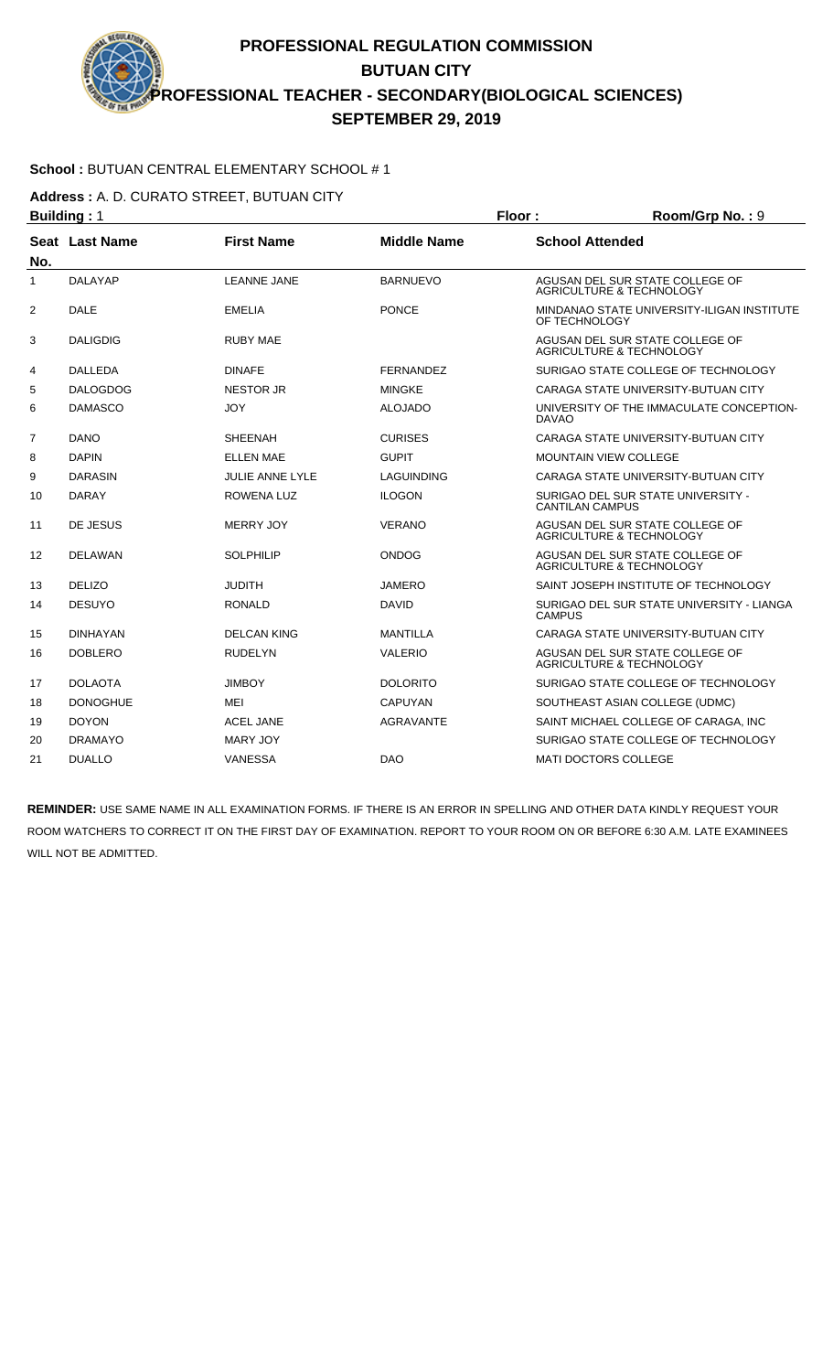### **School :** BUTUAN CENTRAL ELEMENTARY SCHOOL # 1

**Address :** A. D. CURATO STREET, BUTUAN CITY

|                | <b>Building: 1</b> |                        |                    | Floor:                                                   | Room/Grp No.: 9                                                        |
|----------------|--------------------|------------------------|--------------------|----------------------------------------------------------|------------------------------------------------------------------------|
| No.            | Seat Last Name     | <b>First Name</b>      | <b>Middle Name</b> | <b>School Attended</b>                                   |                                                                        |
| $\mathbf{1}$   | <b>DALAYAP</b>     | <b>LEANNE JANE</b>     | <b>BARNUEVO</b>    |                                                          | AGUSAN DEL SUR STATE COLLEGE OF<br>AGRICULTURE & TECHNOLOGY            |
| 2              | <b>DALE</b>        | <b>EMELIA</b>          | <b>PONCE</b>       | OF TECHNOLOGY                                            | MINDANAO STATE UNIVERSITY-ILIGAN INSTITUTE                             |
| 3              | <b>DALIGDIG</b>    | RUBY MAE               |                    |                                                          | AGUSAN DEL SUR STATE COLLEGE OF<br>AGRICULTURE & TECHNOLOGY            |
| 4              | <b>DALLEDA</b>     | <b>DINAFE</b>          | <b>FERNANDEZ</b>   |                                                          | SURIGAO STATE COLLEGE OF TECHNOLOGY                                    |
| 5              | <b>DALOGDOG</b>    | <b>NESTOR JR</b>       | <b>MINGKE</b>      |                                                          | CARAGA STATE UNIVERSITY-BUTUAN CITY                                    |
| 6              | <b>DAMASCO</b>     | <b>JOY</b>             | <b>ALOJADO</b>     | UNIVERSITY OF THE IMMACULATE CONCEPTION-<br><b>DAVAO</b> |                                                                        |
| $\overline{7}$ | <b>DANO</b>        | <b>SHEENAH</b>         | <b>CURISES</b>     |                                                          | CARAGA STATE UNIVERSITY-BUTUAN CITY                                    |
| 8              | <b>DAPIN</b>       | <b>ELLEN MAE</b>       | <b>GUPIT</b>       |                                                          | <b>MOUNTAIN VIEW COLLEGE</b>                                           |
| 9              | <b>DARASIN</b>     | <b>JULIE ANNE LYLE</b> | <b>LAGUINDING</b>  |                                                          | CARAGA STATE UNIVERSITY-BUTUAN CITY                                    |
| 10             | <b>DARAY</b>       | ROWENA LUZ             | <b>ILOGON</b>      | <b>CANTILAN CAMPUS</b>                                   | SURIGAO DEL SUR STATE UNIVERSITY -                                     |
| 11             | DE JESUS           | <b>MERRY JOY</b>       | <b>VERANO</b>      |                                                          | AGUSAN DEL SUR STATE COLLEGE OF<br><b>AGRICULTURE &amp; TECHNOLOGY</b> |
| 12             | <b>DELAWAN</b>     | <b>SOLPHILIP</b>       | <b>ONDOG</b>       |                                                          | AGUSAN DEL SUR STATE COLLEGE OF<br>AGRICULTURE & TECHNOLOGY            |
| 13             | <b>DELIZO</b>      | <b>JUDITH</b>          | <b>JAMERO</b>      |                                                          | SAINT JOSEPH INSTITUTE OF TECHNOLOGY                                   |
| 14             | <b>DESUYO</b>      | <b>RONALD</b>          | <b>DAVID</b>       | <b>CAMPUS</b>                                            | SURIGAO DEL SUR STATE UNIVERSITY - LIANGA                              |
| 15             | <b>DINHAYAN</b>    | <b>DELCAN KING</b>     | <b>MANTILLA</b>    |                                                          | CARAGA STATE UNIVERSITY-BUTUAN CITY                                    |
| 16             | <b>DOBLERO</b>     | <b>RUDELYN</b>         | <b>VALERIO</b>     |                                                          | AGUSAN DEL SUR STATE COLLEGE OF<br>AGRICULTURE & TECHNOLOGY            |
| 17             | <b>DOLAOTA</b>     | <b>JIMBOY</b>          | <b>DOLORITO</b>    |                                                          | SURIGAO STATE COLLEGE OF TECHNOLOGY                                    |
| 18             | <b>DONOGHUE</b>    | MEI                    | <b>CAPUYAN</b>     |                                                          | SOUTHEAST ASIAN COLLEGE (UDMC)                                         |
| 19             | <b>DOYON</b>       | <b>ACEL JANE</b>       | <b>AGRAVANTE</b>   |                                                          | SAINT MICHAEL COLLEGE OF CARAGA. INC                                   |
| 20             | <b>DRAMAYO</b>     | <b>MARY JOY</b>        |                    |                                                          | SURIGAO STATE COLLEGE OF TECHNOLOGY                                    |
| 21             | <b>DUALLO</b>      | <b>VANESSA</b>         | <b>DAO</b>         |                                                          | <b>MATI DOCTORS COLLEGE</b>                                            |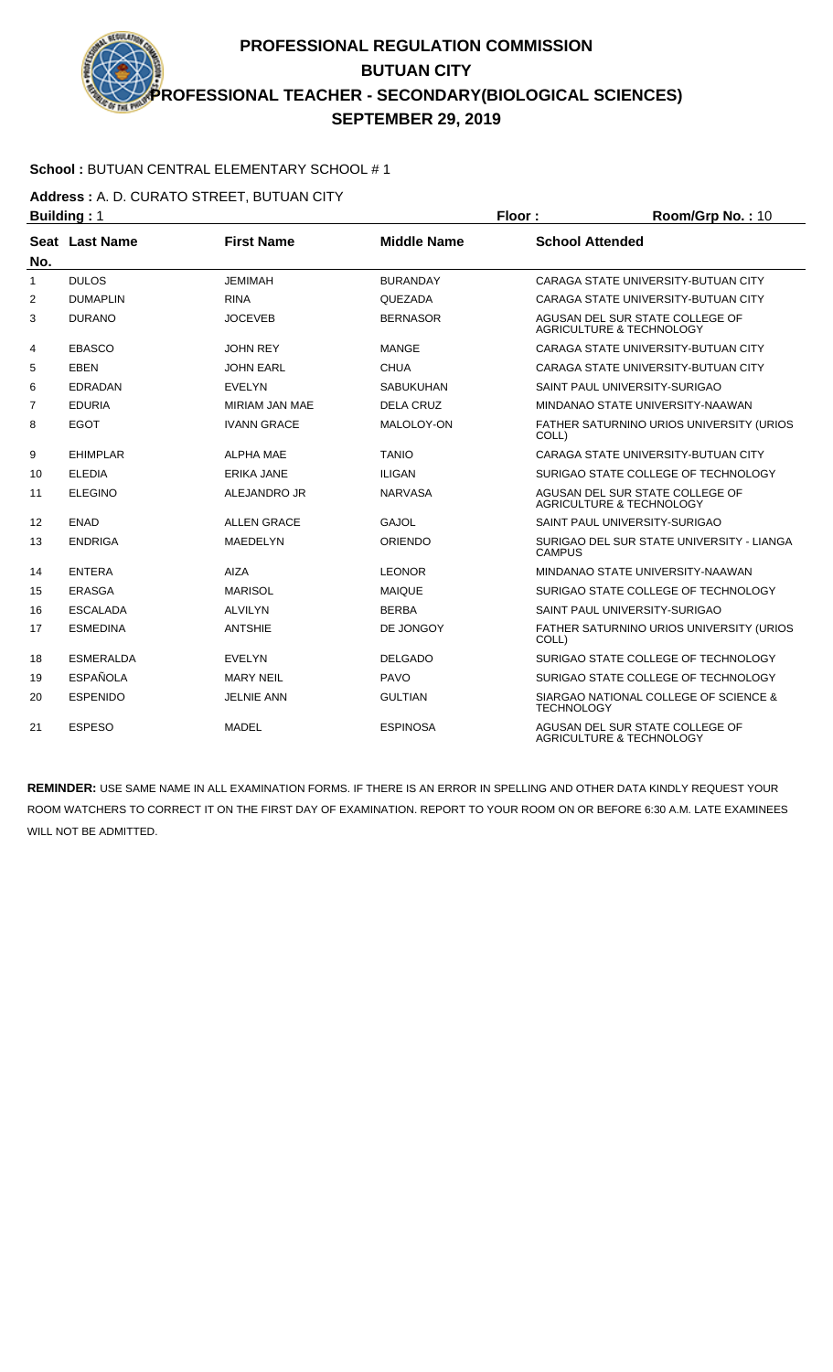#### **School :** BUTUAN CENTRAL ELEMENTARY SCHOOL # 1

**Address :** A. D. CURATO STREET, BUTUAN CITY

|                | <b>Building: 1</b> |                    |                    | Floor:<br>Room/Grp No.: 10 |                                                                        |
|----------------|--------------------|--------------------|--------------------|----------------------------|------------------------------------------------------------------------|
|                | Seat Last Name     | <b>First Name</b>  | <b>Middle Name</b> | <b>School Attended</b>     |                                                                        |
| No.            |                    | <b>JEMIMAH</b>     |                    |                            |                                                                        |
| 1              | <b>DULOS</b>       |                    | <b>BURANDAY</b>    |                            | CARAGA STATE UNIVERSITY-BUTUAN CITY                                    |
| 2              | <b>DUMAPLIN</b>    | <b>RINA</b>        | QUEZADA            |                            | CARAGA STATE UNIVERSITY-BUTUAN CITY                                    |
| 3              | <b>DURANO</b>      | <b>JOCEVEB</b>     | <b>BERNASOR</b>    |                            | AGUSAN DEL SUR STATE COLLEGE OF<br>AGRICULTURE & TECHNOLOGY            |
| 4              | <b>EBASCO</b>      | <b>JOHN REY</b>    | <b>MANGE</b>       |                            | CARAGA STATE UNIVERSITY-BUTUAN CITY                                    |
| 5              | <b>EBEN</b>        | <b>JOHN EARL</b>   | <b>CHUA</b>        |                            | CARAGA STATE UNIVERSITY-BUTUAN CITY                                    |
| 6              | <b>EDRADAN</b>     | <b>EVELYN</b>      | SABUKUHAN          |                            | SAINT PAUL UNIVERSITY-SURIGAO                                          |
| $\overline{7}$ | <b>EDURIA</b>      | MIRIAM JAN MAE     | <b>DELA CRUZ</b>   |                            | MINDANAO STATE UNIVERSITY-NAAWAN                                       |
| 8              | <b>EGOT</b>        | <b>IVANN GRACE</b> | MALOLOY-ON         | COLL)                      | FATHER SATURNINO URIOS UNIVERSITY (URIOS                               |
| 9              | <b>EHIMPLAR</b>    | <b>ALPHA MAE</b>   | <b>TANIO</b>       |                            | CARAGA STATE UNIVERSITY-BUTUAN CITY                                    |
| 10             | <b>ELEDIA</b>      | <b>ERIKA JANE</b>  | <b>ILIGAN</b>      |                            | SURIGAO STATE COLLEGE OF TECHNOLOGY                                    |
| 11             | <b>ELEGINO</b>     | ALEJANDRO JR       | <b>NARVASA</b>     |                            | AGUSAN DEL SUR STATE COLLEGE OF<br>AGRICULTURE & TECHNOLOGY            |
| 12             | <b>ENAD</b>        | <b>ALLEN GRACE</b> | <b>GAJOL</b>       |                            | SAINT PAUL UNIVERSITY-SURIGAO                                          |
| 13             | <b>ENDRIGA</b>     | <b>MAEDELYN</b>    | <b>ORIENDO</b>     | <b>CAMPUS</b>              | SURIGAO DEL SUR STATE UNIVERSITY - LIANGA                              |
| 14             | <b>ENTERA</b>      | AIZA               | <b>LEONOR</b>      |                            | MINDANAO STATE UNIVERSITY-NAAWAN                                       |
| 15             | <b>ERASGA</b>      | <b>MARISOL</b>     | <b>MAIQUE</b>      |                            | SURIGAO STATE COLLEGE OF TECHNOLOGY                                    |
| 16             | <b>ESCALADA</b>    | <b>ALVILYN</b>     | <b>BERBA</b>       |                            | SAINT PAUL UNIVERSITY-SURIGAO                                          |
| 17             | <b>ESMEDINA</b>    | <b>ANTSHIE</b>     | DE JONGOY          | COLL)                      | <b>FATHER SATURNINO URIOS UNIVERSITY (URIOS)</b>                       |
| 18             | <b>ESMERALDA</b>   | <b>EVELYN</b>      | <b>DELGADO</b>     |                            | SURIGAO STATE COLLEGE OF TECHNOLOGY                                    |
| 19             | <b>ESPAÑOLA</b>    | <b>MARY NEIL</b>   | <b>PAVO</b>        |                            | SURIGAO STATE COLLEGE OF TECHNOLOGY                                    |
| 20             | <b>ESPENIDO</b>    | <b>JELNIE ANN</b>  | <b>GULTIAN</b>     | <b>TECHNOLOGY</b>          | SIARGAO NATIONAL COLLEGE OF SCIENCE &                                  |
| 21             | <b>ESPESO</b>      | <b>MADEL</b>       | <b>ESPINOSA</b>    |                            | AGUSAN DEL SUR STATE COLLEGE OF<br><b>AGRICULTURE &amp; TECHNOLOGY</b> |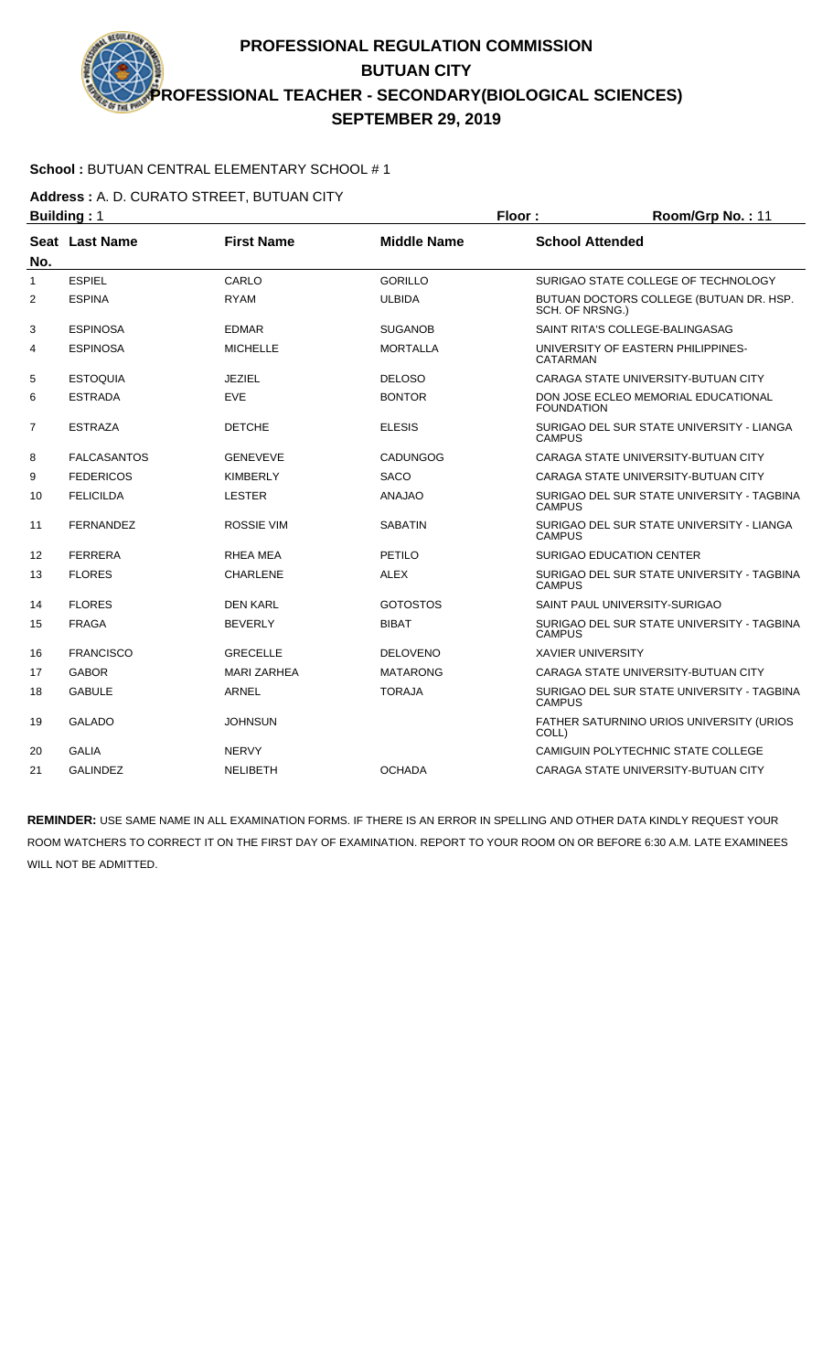#### **School :** BUTUAN CENTRAL ELEMENTARY SCHOOL # 1

**Address :** A. D. CURATO STREET, BUTUAN CITY

|                | <b>Building: 1</b>    |                    |                    | Floor:<br>Room/Grp No.: 11 |                                            |
|----------------|-----------------------|--------------------|--------------------|----------------------------|--------------------------------------------|
| No.            | <b>Seat Last Name</b> | <b>First Name</b>  | <b>Middle Name</b> | <b>School Attended</b>     |                                            |
| 1              | <b>ESPIEL</b>         | CARLO              | <b>GORILLO</b>     |                            | SURIGAO STATE COLLEGE OF TECHNOLOGY        |
| 2              | <b>ESPINA</b>         | <b>RYAM</b>        | <b>ULBIDA</b>      | SCH. OF NRSNG.)            | BUTUAN DOCTORS COLLEGE (BUTUAN DR. HSP.    |
| 3              | <b>ESPINOSA</b>       | <b>EDMAR</b>       | <b>SUGANOB</b>     |                            | SAINT RITA'S COLLEGE-BALINGASAG            |
| 4              | <b>ESPINOSA</b>       | <b>MICHELLE</b>    | <b>MORTALLA</b>    | <b>CATARMAN</b>            | UNIVERSITY OF EASTERN PHILIPPINES-         |
| 5              | <b>ESTOQUIA</b>       | <b>JEZIEL</b>      | <b>DELOSO</b>      |                            | CARAGA STATE UNIVERSITY-BUTUAN CITY        |
| 6              | <b>ESTRADA</b>        | <b>EVE</b>         | <b>BONTOR</b>      | <b>FOUNDATION</b>          | DON JOSE ECLEO MEMORIAL EDUCATIONAL        |
| $\overline{7}$ | <b>ESTRAZA</b>        | <b>DETCHE</b>      | <b>ELESIS</b>      | <b>CAMPUS</b>              | SURIGAO DEL SUR STATE UNIVERSITY - LIANGA  |
| 8              | <b>FALCASANTOS</b>    | <b>GENEVEVE</b>    | <b>CADUNGOG</b>    |                            | CARAGA STATE UNIVERSITY-BUTUAN CITY        |
| 9              | <b>FEDERICOS</b>      | <b>KIMBERLY</b>    | <b>SACO</b>        |                            | CARAGA STATE UNIVERSITY-BUTUAN CITY        |
| 10             | <b>FELICILDA</b>      | <b>LESTER</b>      | <b>ANAJAO</b>      | <b>CAMPUS</b>              | SURIGAO DEL SUR STATE UNIVERSITY - TAGBINA |
| 11             | <b>FERNANDEZ</b>      | <b>ROSSIE VIM</b>  | <b>SABATIN</b>     | <b>CAMPUS</b>              | SURIGAO DEL SUR STATE UNIVERSITY - LIANGA  |
| 12             | <b>FERRERA</b>        | RHEA MEA           | PETILO             |                            | SURIGAO EDUCATION CENTER                   |
| 13             | <b>FLORES</b>         | <b>CHARLENE</b>    | <b>ALEX</b>        | <b>CAMPUS</b>              | SURIGAO DEL SUR STATE UNIVERSITY - TAGBINA |
| 14             | <b>FLORES</b>         | <b>DEN KARL</b>    | <b>GOTOSTOS</b>    |                            | SAINT PAUL UNIVERSITY-SURIGAO              |
| 15             | <b>FRAGA</b>          | <b>BEVERLY</b>     | <b>BIBAT</b>       | <b>CAMPUS</b>              | SURIGAO DEL SUR STATE UNIVERSITY - TAGBINA |
| 16             | <b>FRANCISCO</b>      | <b>GRECELLE</b>    | <b>DELOVENO</b>    | <b>XAVIER UNIVERSITY</b>   |                                            |
| 17             | <b>GABOR</b>          | <b>MARI ZARHEA</b> | <b>MATARONG</b>    |                            | CARAGA STATE UNIVERSITY-BUTUAN CITY        |
| 18             | <b>GABULE</b>         | <b>ARNEL</b>       | <b>TORAJA</b>      | <b>CAMPUS</b>              | SURIGAO DEL SUR STATE UNIVERSITY - TAGBINA |
| 19             | <b>GALADO</b>         | <b>JOHNSUN</b>     |                    | COLL)                      | FATHER SATURNINO URIOS UNIVERSITY (URIOS   |
| 20             | <b>GALIA</b>          | <b>NERVY</b>       |                    |                            | CAMIGUIN POLYTECHNIC STATE COLLEGE         |
| 21             | <b>GALINDEZ</b>       | <b>NELIBETH</b>    | <b>OCHADA</b>      |                            | CARAGA STATE UNIVERSITY-BUTUAN CITY        |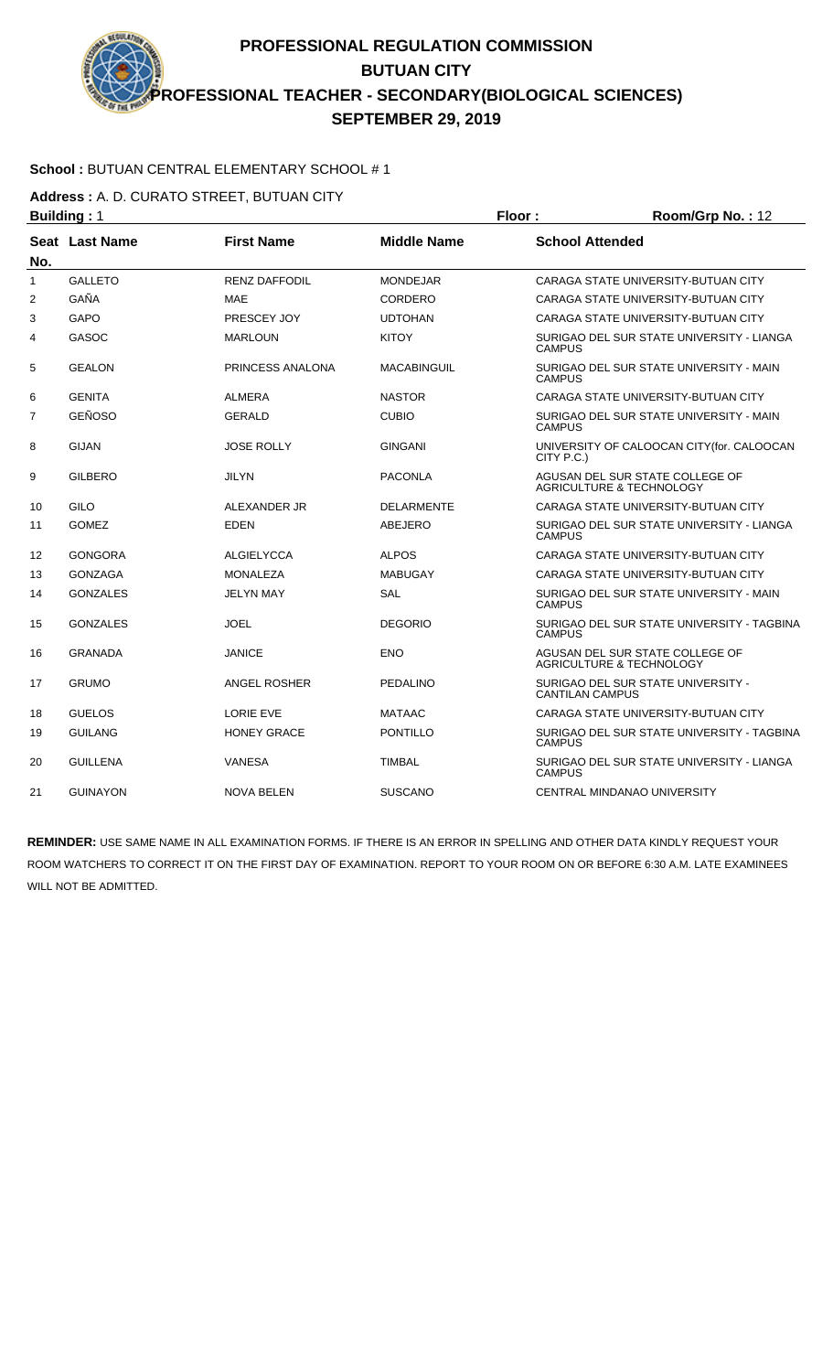### **School :** BUTUAN CENTRAL ELEMENTARY SCHOOL # 1

**Address :** A. D. CURATO STREET, BUTUAN CITY

|                | <b>Building: 1</b> |                      |                    | Floor:                 | Room/Grp No.: 12                                                       |
|----------------|--------------------|----------------------|--------------------|------------------------|------------------------------------------------------------------------|
| No.            | Seat Last Name     | <b>First Name</b>    | <b>Middle Name</b> | <b>School Attended</b> |                                                                        |
| $\mathbf{1}$   | <b>GALLETO</b>     | <b>RENZ DAFFODIL</b> | <b>MONDEJAR</b>    |                        | CARAGA STATE UNIVERSITY-BUTUAN CITY                                    |
| 2              | GAÑA               | <b>MAE</b>           | CORDERO            |                        | CARAGA STATE UNIVERSITY-BUTUAN CITY                                    |
| 3              | <b>GAPO</b>        | PRESCEY JOY          | <b>UDTOHAN</b>     |                        | CARAGA STATE UNIVERSITY-BUTUAN CITY                                    |
| 4              | GASOC              | <b>MARLOUN</b>       | <b>KITOY</b>       | <b>CAMPUS</b>          | SURIGAO DEL SUR STATE UNIVERSITY - LIANGA                              |
| 5              | <b>GEALON</b>      | PRINCESS ANALONA     | <b>MACABINGUIL</b> | <b>CAMPUS</b>          | SURIGAO DEL SUR STATE UNIVERSITY - MAIN                                |
| 6              | <b>GENITA</b>      | <b>ALMERA</b>        | <b>NASTOR</b>      |                        | CARAGA STATE UNIVERSITY-BUTUAN CITY                                    |
| $\overline{7}$ | <b>GEÑOSO</b>      | GERALD               | <b>CUBIO</b>       | <b>CAMPUS</b>          | SURIGAO DEL SUR STATE UNIVERSITY - MAIN                                |
| 8              | <b>GIJAN</b>       | <b>JOSE ROLLY</b>    | <b>GINGANI</b>     | CITY P.C.)             | UNIVERSITY OF CALOOCAN CITY(for. CALOOCAN                              |
| 9              | <b>GILBERO</b>     | <b>JILYN</b>         | <b>PACONLA</b>     |                        | AGUSAN DEL SUR STATE COLLEGE OF<br>AGRICULTURE & TECHNOLOGY            |
| 10             | <b>GILO</b>        | ALEXANDER JR         | <b>DELARMENTE</b>  |                        | CARAGA STATE UNIVERSITY-BUTUAN CITY                                    |
| 11             | <b>GOMEZ</b>       | <b>EDEN</b>          | ABEJERO            | <b>CAMPUS</b>          | SURIGAO DEL SUR STATE UNIVERSITY - LIANGA                              |
| 12             | <b>GONGORA</b>     | <b>ALGIELYCCA</b>    | <b>ALPOS</b>       |                        | CARAGA STATE UNIVERSITY-BUTUAN CITY                                    |
| 13             | <b>GONZAGA</b>     | <b>MONALEZA</b>      | <b>MABUGAY</b>     |                        | CARAGA STATE UNIVERSITY-BUTUAN CITY                                    |
| 14             | <b>GONZALES</b>    | <b>JELYN MAY</b>     | <b>SAL</b>         | <b>CAMPUS</b>          | SURIGAO DEL SUR STATE UNIVERSITY - MAIN                                |
| 15             | <b>GONZALES</b>    | <b>JOEL</b>          | <b>DEGORIO</b>     | <b>CAMPUS</b>          | SURIGAO DEL SUR STATE UNIVERSITY - TAGBINA                             |
| 16             | <b>GRANADA</b>     | <b>JANICE</b>        | <b>ENO</b>         |                        | AGUSAN DEL SUR STATE COLLEGE OF<br><b>AGRICULTURE &amp; TECHNOLOGY</b> |
| 17             | <b>GRUMO</b>       | ANGEL ROSHER         | <b>PEDALINO</b>    | <b>CANTILAN CAMPUS</b> | SURIGAO DEL SUR STATE UNIVERSITY -                                     |
| 18             | <b>GUELOS</b>      | <b>LORIE EVE</b>     | <b>MATAAC</b>      |                        | CARAGA STATE UNIVERSITY-BUTUAN CITY                                    |
| 19             | <b>GUILANG</b>     | <b>HONEY GRACE</b>   | <b>PONTILLO</b>    | <b>CAMPUS</b>          | SURIGAO DEL SUR STATE UNIVERSITY - TAGBINA                             |
| 20             | <b>GUILLENA</b>    | <b>VANESA</b>        | <b>TIMBAL</b>      | <b>CAMPUS</b>          | SURIGAO DEL SUR STATE UNIVERSITY - LIANGA                              |
| 21             | <b>GUINAYON</b>    | <b>NOVA BELEN</b>    | <b>SUSCANO</b>     |                        | CENTRAL MINDANAO UNIVERSITY                                            |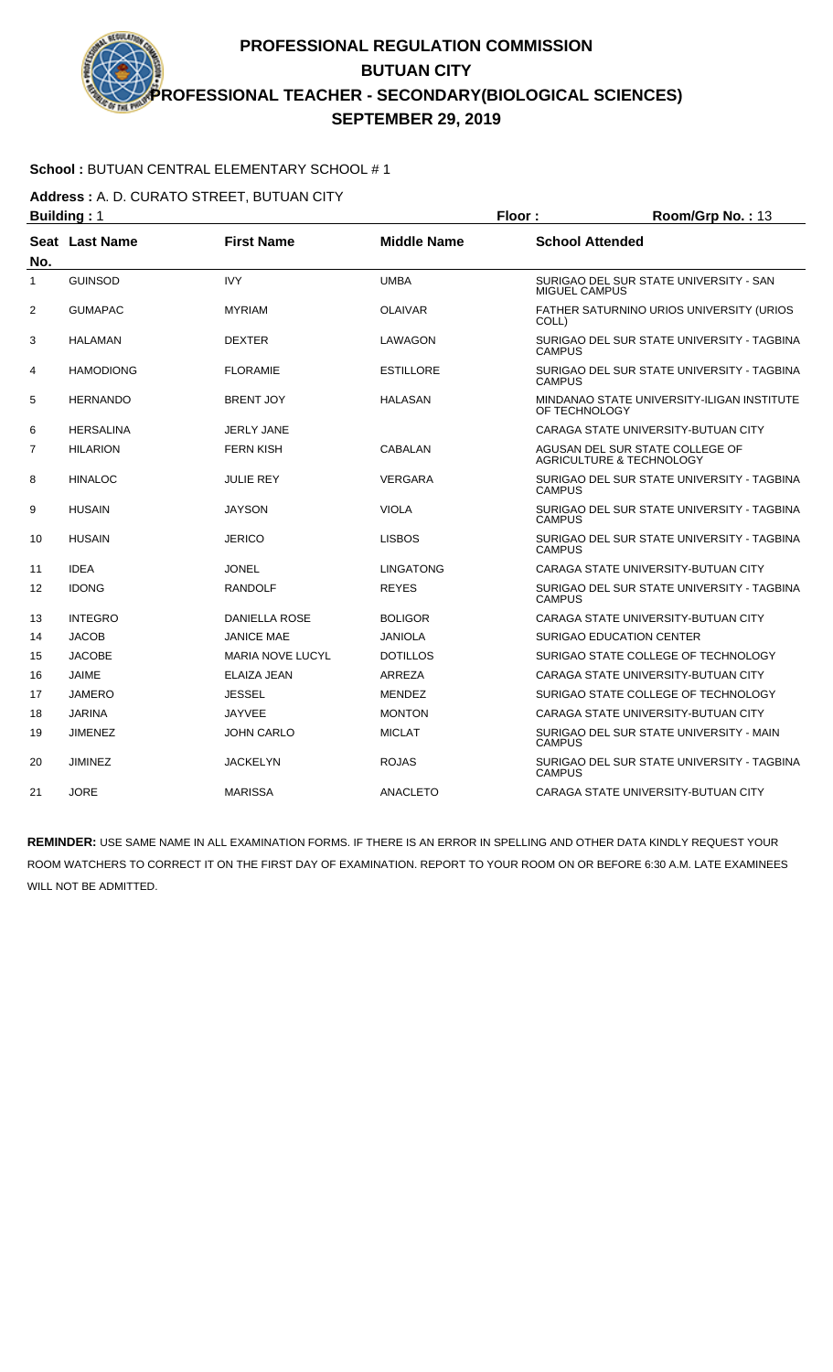### **School :** BUTUAN CENTRAL ELEMENTARY SCHOOL # 1

**Address :** A. D. CURATO STREET, BUTUAN CITY

|                | <b>Building: 1</b>    |                         |                    | Floor:                 | Room/Grp No.: 13                                            |
|----------------|-----------------------|-------------------------|--------------------|------------------------|-------------------------------------------------------------|
| No.            | <b>Seat Last Name</b> | <b>First Name</b>       | <b>Middle Name</b> | <b>School Attended</b> |                                                             |
| 1              | <b>GUINSOD</b>        | <b>IVY</b>              | <b>UMBA</b>        | MIGUEL CAMPUS          | SURIGAO DEL SUR STATE UNIVERSITY - SAN                      |
| $\overline{2}$ | <b>GUMAPAC</b>        | <b>MYRIAM</b>           | <b>OLAIVAR</b>     | COLL)                  | FATHER SATURNINO URIOS UNIVERSITY (URIOS                    |
| 3              | <b>HALAMAN</b>        | <b>DEXTER</b>           | LAWAGON            | CAMPUS                 | SURIGAO DEL SUR STATE UNIVERSITY - TAGBINA                  |
| 4              | <b>HAMODIONG</b>      | <b>FLORAMIE</b>         | <b>ESTILLORE</b>   | <b>CAMPUS</b>          | SURIGAO DEL SUR STATE UNIVERSITY - TAGBINA                  |
| 5              | <b>HERNANDO</b>       | <b>BRENT JOY</b>        | <b>HALASAN</b>     | OF TECHNOLOGY          | MINDANAO STATE UNIVERSITY-ILIGAN INSTITUTE                  |
| 6              | <b>HERSALINA</b>      | <b>JERLY JANE</b>       |                    |                        | CARAGA STATE UNIVERSITY-BUTUAN CITY                         |
| 7              | <b>HILARION</b>       | <b>FERN KISH</b>        | <b>CABALAN</b>     |                        | AGUSAN DEL SUR STATE COLLEGE OF<br>AGRICULTURE & TECHNOLOGY |
| 8              | <b>HINALOC</b>        | <b>JULIE REY</b>        | <b>VERGARA</b>     | <b>CAMPUS</b>          | SURIGAO DEL SUR STATE UNIVERSITY - TAGBINA                  |
| 9              | <b>HUSAIN</b>         | <b>JAYSON</b>           | <b>VIOLA</b>       | <b>CAMPUS</b>          | SURIGAO DEL SUR STATE UNIVERSITY - TAGBINA                  |
| 10             | <b>HUSAIN</b>         | <b>JERICO</b>           | <b>LISBOS</b>      | <b>CAMPUS</b>          | SURIGAO DEL SUR STATE UNIVERSITY - TAGBINA                  |
| 11             | <b>IDEA</b>           | <b>JONEL</b>            | <b>LINGATONG</b>   |                        | CARAGA STATE UNIVERSITY-BUTUAN CITY                         |
| 12             | <b>IDONG</b>          | <b>RANDOLF</b>          | <b>REYES</b>       | <b>CAMPUS</b>          | SURIGAO DEL SUR STATE UNIVERSITY - TAGBINA                  |
| 13             | <b>INTEGRO</b>        | <b>DANIELLA ROSE</b>    | <b>BOLIGOR</b>     |                        | CARAGA STATE UNIVERSITY-BUTUAN CITY                         |
| 14             | <b>JACOB</b>          | <b>JANICE MAE</b>       | <b>JANIOLA</b>     |                        | <b>SURIGAO EDUCATION CENTER</b>                             |
| 15             | <b>JACOBE</b>         | <b>MARIA NOVE LUCYL</b> | <b>DOTILLOS</b>    |                        | SURIGAO STATE COLLEGE OF TECHNOLOGY                         |
| 16             | <b>JAIME</b>          | ELAIZA JEAN             | <b>ARREZA</b>      |                        | CARAGA STATE UNIVERSITY-BUTUAN CITY                         |
| 17             | <b>JAMERO</b>         | <b>JESSEL</b>           | <b>MENDEZ</b>      |                        | SURIGAO STATE COLLEGE OF TECHNOLOGY                         |
| 18             | <b>JARINA</b>         | <b>JAYVEE</b>           | <b>MONTON</b>      |                        | CARAGA STATE UNIVERSITY-BUTUAN CITY                         |
| 19             | <b>JIMENEZ</b>        | <b>JOHN CARLO</b>       | <b>MICLAT</b>      | <b>CAMPUS</b>          | SURIGAO DEL SUR STATE UNIVERSITY - MAIN                     |
| 20             | <b>JIMINEZ</b>        | <b>JACKELYN</b>         | <b>ROJAS</b>       | <b>CAMPUS</b>          | SURIGAO DEL SUR STATE UNIVERSITY - TAGBINA                  |
| 21             | <b>JORE</b>           | <b>MARISSA</b>          | <b>ANACLETO</b>    |                        | CARAGA STATE UNIVERSITY-BUTUAN CITY                         |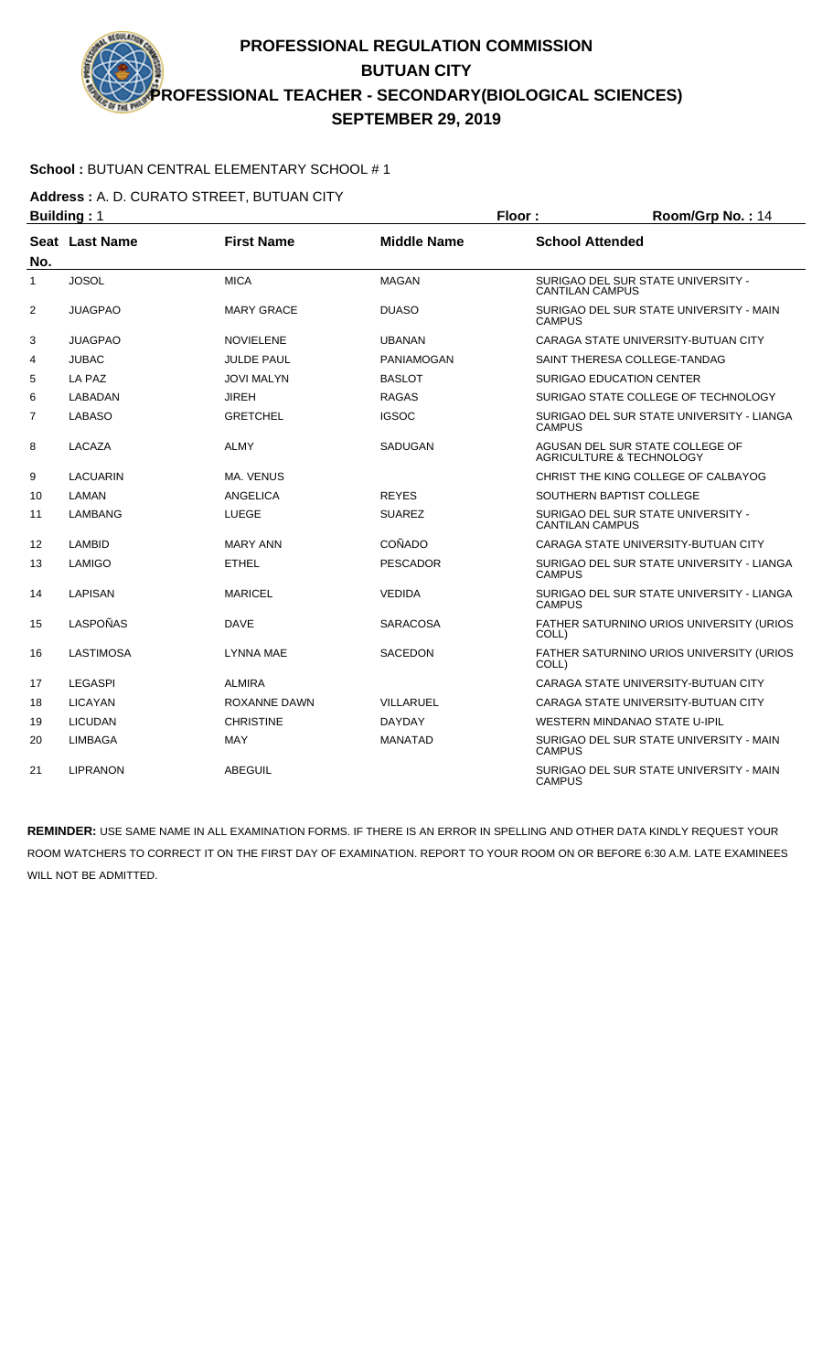### **School :** BUTUAN CENTRAL ELEMENTARY SCHOOL # 1

**Address :** A. D. CURATO STREET, BUTUAN CITY

|                | <b>Building: 1</b>    |                   |                    | Floor:                 | Room/Grp No.: 14                                                       |
|----------------|-----------------------|-------------------|--------------------|------------------------|------------------------------------------------------------------------|
| No.            | <b>Seat Last Name</b> | <b>First Name</b> | <b>Middle Name</b> | <b>School Attended</b> |                                                                        |
| $\mathbf{1}$   | <b>JOSOL</b>          | <b>MICA</b>       | <b>MAGAN</b>       | <b>CANTILAN CAMPUS</b> | SURIGAO DEL SUR STATE UNIVERSITY -                                     |
| 2              | <b>JUAGPAO</b>        | <b>MARY GRACE</b> | <b>DUASO</b>       | <b>CAMPUS</b>          | SURIGAO DEL SUR STATE UNIVERSITY - MAIN                                |
| 3              | <b>JUAGPAO</b>        | <b>NOVIELENE</b>  | <b>UBANAN</b>      |                        | CARAGA STATE UNIVERSITY-BUTUAN CITY                                    |
| 4              | <b>JUBAC</b>          | JULDE PAUL        | PANIAMOGAN         |                        | SAINT THERESA COLLEGE-TANDAG                                           |
| 5              | LA PAZ                | <b>JOVI MALYN</b> | <b>BASLOT</b>      |                        | <b>SURIGAO EDUCATION CENTER</b>                                        |
| 6              | LABADAN               | <b>JIREH</b>      | <b>RAGAS</b>       |                        | SURIGAO STATE COLLEGE OF TECHNOLOGY                                    |
| $\overline{7}$ | <b>LABASO</b>         | <b>GRETCHEL</b>   | <b>IGSOC</b>       | <b>CAMPUS</b>          | SURIGAO DEL SUR STATE UNIVERSITY - LIANGA                              |
| 8              | LACAZA                | <b>ALMY</b>       | <b>SADUGAN</b>     |                        | AGUSAN DEL SUR STATE COLLEGE OF<br><b>AGRICULTURE &amp; TECHNOLOGY</b> |
| 9              | <b>LACUARIN</b>       | <b>MA. VENUS</b>  |                    |                        | CHRIST THE KING COLLEGE OF CALBAYOG                                    |
| 10             | LAMAN                 | ANGELICA          | <b>REYES</b>       |                        | SOUTHERN BAPTIST COLLEGE                                               |
| 11             | <b>LAMBANG</b>        | <b>LUEGE</b>      | <b>SUAREZ</b>      | <b>CANTILAN CAMPUS</b> | SURIGAO DEL SUR STATE UNIVERSITY -                                     |
| 12             | LAMBID                | <b>MARY ANN</b>   | COÑADO             |                        | CARAGA STATE UNIVERSITY-BUTUAN CITY                                    |
| 13             | LAMIGO                | <b>ETHEL</b>      | <b>PESCADOR</b>    | <b>CAMPUS</b>          | SURIGAO DEL SUR STATE UNIVERSITY - LIANGA                              |
| 14             | <b>LAPISAN</b>        | <b>MARICEL</b>    | <b>VEDIDA</b>      | <b>CAMPUS</b>          | SURIGAO DEL SUR STATE UNIVERSITY - LIANGA                              |
| 15             | LASPOÑAS              | <b>DAVE</b>       | <b>SARACOSA</b>    | COLL)                  | FATHER SATURNINO URIOS UNIVERSITY (URIOS                               |
| 16             | <b>LASTIMOSA</b>      | <b>LYNNA MAE</b>  | <b>SACEDON</b>     | COLL)                  | FATHER SATURNINO URIOS UNIVERSITY (URIOS                               |
| 17             | <b>LEGASPI</b>        | <b>ALMIRA</b>     |                    |                        | CARAGA STATE UNIVERSITY-BUTUAN CITY                                    |
| 18             | <b>LICAYAN</b>        | ROXANNE DAWN      | <b>VILLARUEL</b>   |                        | CARAGA STATE UNIVERSITY-BUTUAN CITY                                    |
| 19             | <b>LICUDAN</b>        | <b>CHRISTINE</b>  | <b>DAYDAY</b>      |                        | WESTERN MINDANAO STATE U-IPIL                                          |
| 20             | <b>LIMBAGA</b>        | <b>MAY</b>        | <b>MANATAD</b>     | <b>CAMPUS</b>          | SURIGAO DEL SUR STATE UNIVERSITY - MAIN                                |
| 21             | <b>LIPRANON</b>       | <b>ABEGUIL</b>    |                    | <b>CAMPUS</b>          | SURIGAO DEL SUR STATE UNIVERSITY - MAIN                                |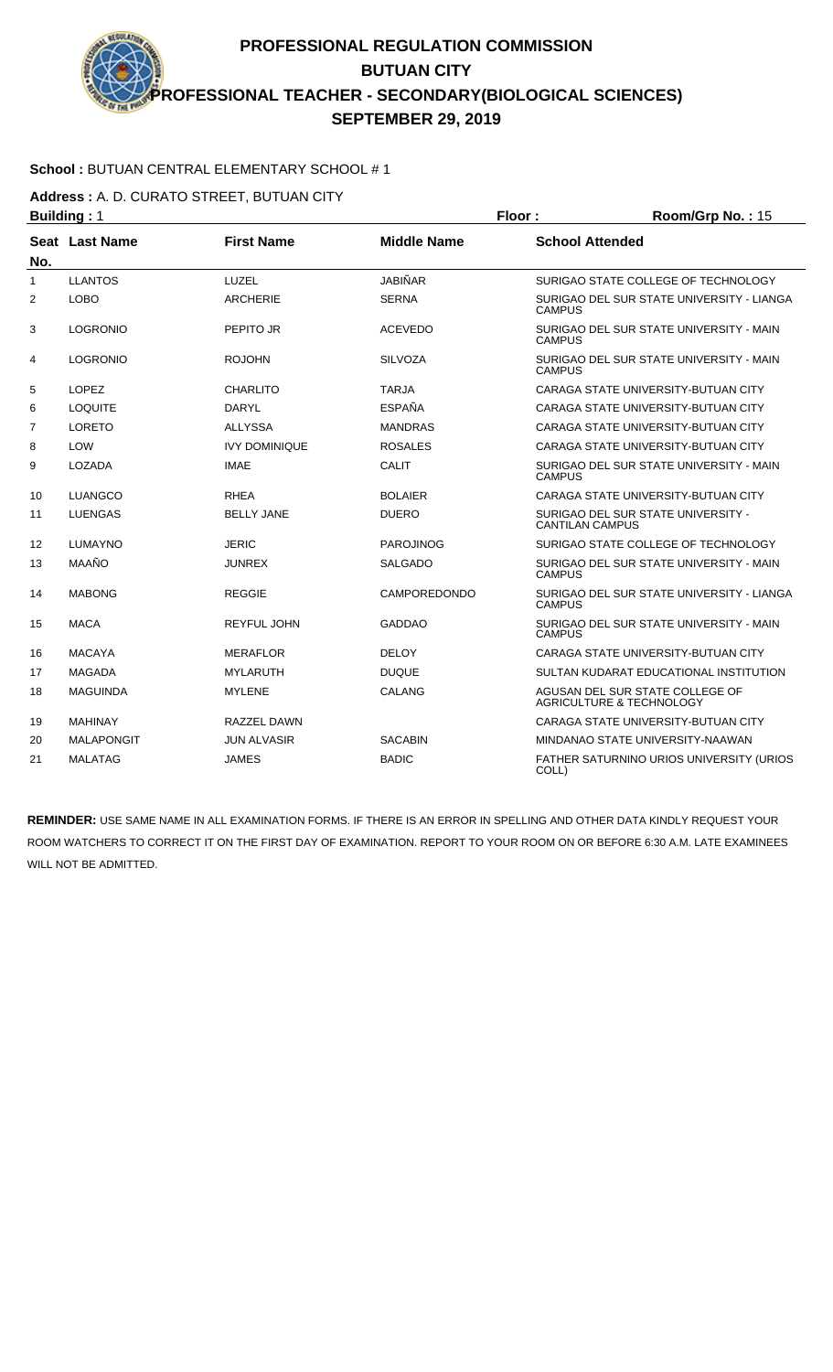### **School :** BUTUAN CENTRAL ELEMENTARY SCHOOL # 1

**Address :** A. D. CURATO STREET, BUTUAN CITY

|                | <b>Building: 1</b> |                      |                     | Floor:                 | Room/Grp No.: 15                                            |
|----------------|--------------------|----------------------|---------------------|------------------------|-------------------------------------------------------------|
| No.            | Seat Last Name     | <b>First Name</b>    | <b>Middle Name</b>  | <b>School Attended</b> |                                                             |
| 1              | <b>LLANTOS</b>     | LUZEL                | <b>JABIÑAR</b>      |                        | SURIGAO STATE COLLEGE OF TECHNOLOGY                         |
| 2              | <b>LOBO</b>        | <b>ARCHERIE</b>      | <b>SERNA</b>        | <b>CAMPUS</b>          | SURIGAO DEL SUR STATE UNIVERSITY - LIANGA                   |
| 3              | <b>LOGRONIO</b>    | PEPITO JR            | <b>ACEVEDO</b>      | <b>CAMPUS</b>          | SURIGAO DEL SUR STATE UNIVERSITY - MAIN                     |
| 4              | <b>LOGRONIO</b>    | <b>ROJOHN</b>        | <b>SILVOZA</b>      | <b>CAMPUS</b>          | SURIGAO DEL SUR STATE UNIVERSITY - MAIN                     |
| 5              | <b>LOPEZ</b>       | <b>CHARLITO</b>      | <b>TARJA</b>        |                        | CARAGA STATE UNIVERSITY-BUTUAN CITY                         |
| 6              | <b>LOQUITE</b>     | <b>DARYL</b>         | <b>ESPAÑA</b>       |                        | CARAGA STATE UNIVERSITY-BUTUAN CITY                         |
| $\overline{7}$ | <b>LORETO</b>      | <b>ALLYSSA</b>       | <b>MANDRAS</b>      |                        | CARAGA STATE UNIVERSITY-BUTUAN CITY                         |
| 8              | <b>LOW</b>         | <b>IVY DOMINIQUE</b> | <b>ROSALES</b>      |                        | CARAGA STATE UNIVERSITY-BUTUAN CITY                         |
| 9              | LOZADA             | <b>IMAE</b>          | CALIT               | <b>CAMPUS</b>          | SURIGAO DEL SUR STATE UNIVERSITY - MAIN                     |
| 10             | LUANGCO            | <b>RHEA</b>          | <b>BOLAIER</b>      |                        | CARAGA STATE UNIVERSITY-BUTUAN CITY                         |
| 11             | <b>LUENGAS</b>     | <b>BELLY JANE</b>    | <b>DUERO</b>        | <b>CANTILAN CAMPUS</b> | SURIGAO DEL SUR STATE UNIVERSITY -                          |
| 12             | <b>LUMAYNO</b>     | <b>JERIC</b>         | <b>PAROJINOG</b>    |                        | SURIGAO STATE COLLEGE OF TECHNOLOGY                         |
| 13             | MAAÑO              | <b>JUNREX</b>        | <b>SALGADO</b>      | <b>CAMPUS</b>          | SURIGAO DEL SUR STATE UNIVERSITY - MAIN                     |
| 14             | <b>MABONG</b>      | <b>REGGIE</b>        | <b>CAMPOREDONDO</b> | <b>CAMPUS</b>          | SURIGAO DEL SUR STATE UNIVERSITY - LIANGA                   |
| 15             | <b>MACA</b>        | <b>REYFUL JOHN</b>   | <b>GADDAO</b>       | <b>CAMPUS</b>          | SURIGAO DEL SUR STATE UNIVERSITY - MAIN                     |
| 16             | <b>MACAYA</b>      | <b>MERAFLOR</b>      | <b>DELOY</b>        |                        | CARAGA STATE UNIVERSITY-BUTUAN CITY                         |
| 17             | <b>MAGADA</b>      | <b>MYLARUTH</b>      | <b>DUQUE</b>        |                        | SULTAN KUDARAT EDUCATIONAL INSTITUTION                      |
| 18             | <b>MAGUINDA</b>    | <b>MYLENE</b>        | <b>CALANG</b>       |                        | AGUSAN DEL SUR STATE COLLEGE OF<br>AGRICULTURE & TECHNOLOGY |
| 19             | <b>MAHINAY</b>     | RAZZEL DAWN          |                     |                        | CARAGA STATE UNIVERSITY-BUTUAN CITY                         |
| 20             | <b>MALAPONGIT</b>  | <b>JUN ALVASIR</b>   | <b>SACABIN</b>      |                        | MINDANAO STATE UNIVERSITY-NAAWAN                            |
| 21             | <b>MALATAG</b>     | <b>JAMES</b>         | <b>BADIC</b>        | COLL)                  | <b>FATHER SATURNINO URIOS UNIVERSITY (URIOS)</b>            |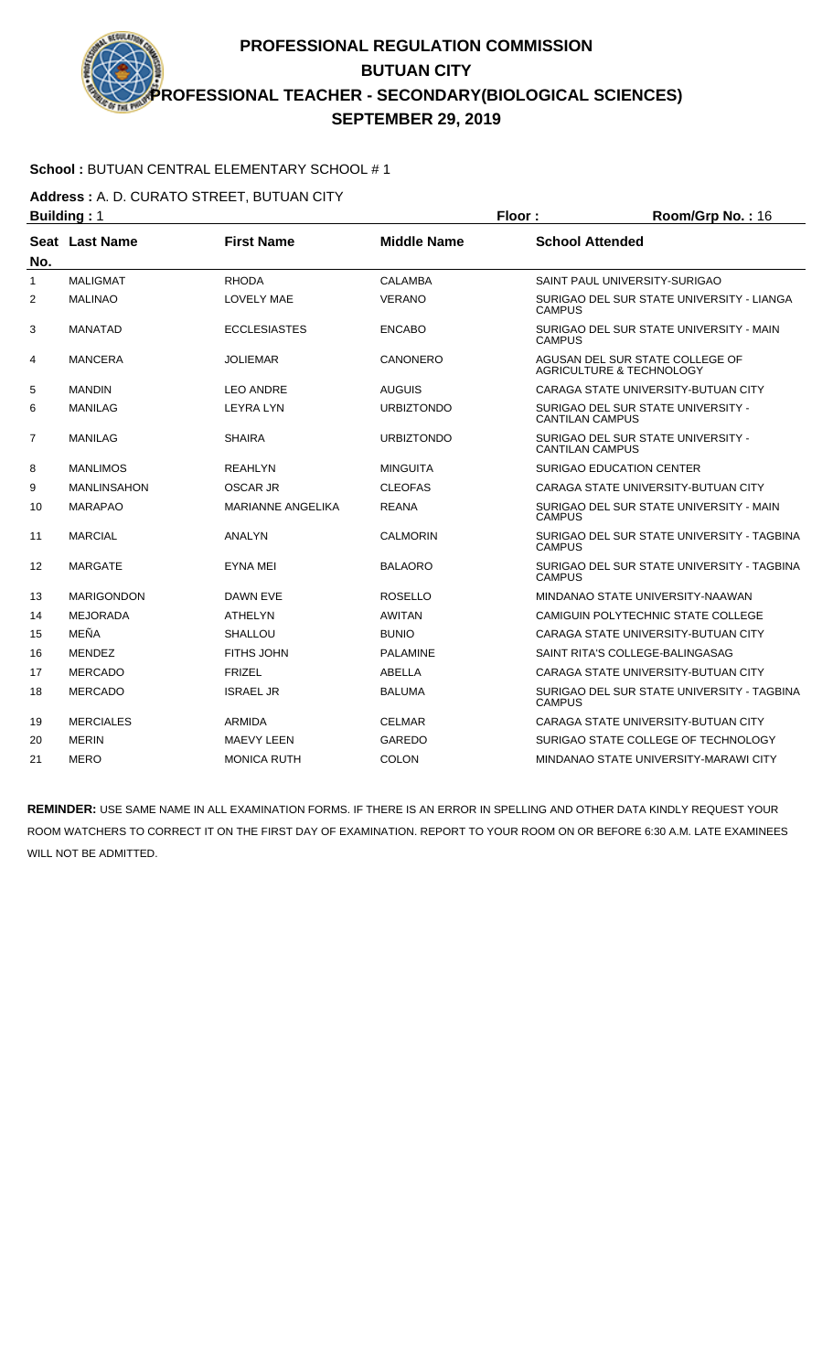### **School :** BUTUAN CENTRAL ELEMENTARY SCHOOL # 1

**Address :** A. D. CURATO STREET, BUTUAN CITY

|                | <b>Building: 1</b> |                          |                    | Floor:                 | Room/Grp No.: 16                                                       |
|----------------|--------------------|--------------------------|--------------------|------------------------|------------------------------------------------------------------------|
| No.            | Seat Last Name     | <b>First Name</b>        | <b>Middle Name</b> | <b>School Attended</b> |                                                                        |
| $\mathbf{1}$   | <b>MALIGMAT</b>    | <b>RHODA</b>             | CALAMBA            |                        | SAINT PAUL UNIVERSITY-SURIGAO                                          |
| $\overline{2}$ | <b>MALINAO</b>     | <b>LOVELY MAE</b>        | <b>VERANO</b>      | <b>CAMPUS</b>          | SURIGAO DEL SUR STATE UNIVERSITY - LIANGA                              |
| 3              | <b>MANATAD</b>     | <b>ECCLESIASTES</b>      | <b>ENCABO</b>      | <b>CAMPUS</b>          | SURIGAO DEL SUR STATE UNIVERSITY - MAIN                                |
| 4              | <b>MANCERA</b>     | <b>JOLIEMAR</b>          | CANONERO           |                        | AGUSAN DEL SUR STATE COLLEGE OF<br><b>AGRICULTURE &amp; TECHNOLOGY</b> |
| 5              | <b>MANDIN</b>      | <b>LEO ANDRE</b>         | <b>AUGUIS</b>      |                        | CARAGA STATE UNIVERSITY-BUTUAN CITY                                    |
| 6              | <b>MANILAG</b>     | <b>LEYRA LYN</b>         | <b>URBIZTONDO</b>  | <b>CANTILAN CAMPUS</b> | SURIGAO DEL SUR STATE UNIVERSITY -                                     |
| 7              | <b>MANILAG</b>     | <b>SHAIRA</b>            | <b>URBIZTONDO</b>  | <b>CANTILAN CAMPUS</b> | SURIGAO DEL SUR STATE UNIVERSITY -                                     |
| 8              | <b>MANLIMOS</b>    | <b>REAHLYN</b>           | <b>MINGUITA</b>    |                        | <b>SURIGAO EDUCATION CENTER</b>                                        |
| 9              | <b>MANLINSAHON</b> | OSCAR JR                 | <b>CLEOFAS</b>     |                        | CARAGA STATE UNIVERSITY-BUTUAN CITY                                    |
| 10             | <b>MARAPAO</b>     | <b>MARIANNE ANGELIKA</b> | <b>REANA</b>       | <b>CAMPUS</b>          | SURIGAO DEL SUR STATE UNIVERSITY - MAIN                                |
| 11             | <b>MARCIAL</b>     | ANALYN                   | <b>CALMORIN</b>    | <b>CAMPUS</b>          | SURIGAO DEL SUR STATE UNIVERSITY - TAGBINA                             |
| 12             | <b>MARGATE</b>     | EYNA MEI                 | <b>BALAORO</b>     | <b>CAMPUS</b>          | SURIGAO DEL SUR STATE UNIVERSITY - TAGBINA                             |
| 13             | <b>MARIGONDON</b>  | DAWN EVE                 | <b>ROSELLO</b>     |                        | MINDANAO STATE UNIVERSITY-NAAWAN                                       |
| 14             | <b>MEJORADA</b>    | <b>ATHELYN</b>           | <b>AWITAN</b>      |                        | CAMIGUIN POLYTECHNIC STATE COLLEGE                                     |
| 15             | MEÑA               | <b>SHALLOU</b>           | <b>BUNIO</b>       |                        | CARAGA STATE UNIVERSITY-BUTUAN CITY                                    |
| 16             | <b>MENDEZ</b>      | <b>FITHS JOHN</b>        | <b>PALAMINE</b>    |                        | SAINT RITA'S COLLEGE-BALINGASAG                                        |
| 17             | <b>MERCADO</b>     | <b>FRIZEL</b>            | <b>ABELLA</b>      |                        | CARAGA STATE UNIVERSITY-BUTUAN CITY                                    |
| 18             | <b>MERCADO</b>     | <b>ISRAEL JR</b>         | <b>BALUMA</b>      | <b>CAMPUS</b>          | SURIGAO DEL SUR STATE UNIVERSITY - TAGBINA                             |
| 19             | <b>MERCIALES</b>   | <b>ARMIDA</b>            | <b>CELMAR</b>      |                        | CARAGA STATE UNIVERSITY-BUTUAN CITY                                    |
| 20             | <b>MERIN</b>       | <b>MAEVY LEEN</b>        | GAREDO             |                        | SURIGAO STATE COLLEGE OF TECHNOLOGY                                    |
| 21             | <b>MERO</b>        | <b>MONICA RUTH</b>       | <b>COLON</b>       |                        | MINDANAO STATE UNIVERSITY-MARAWI CITY                                  |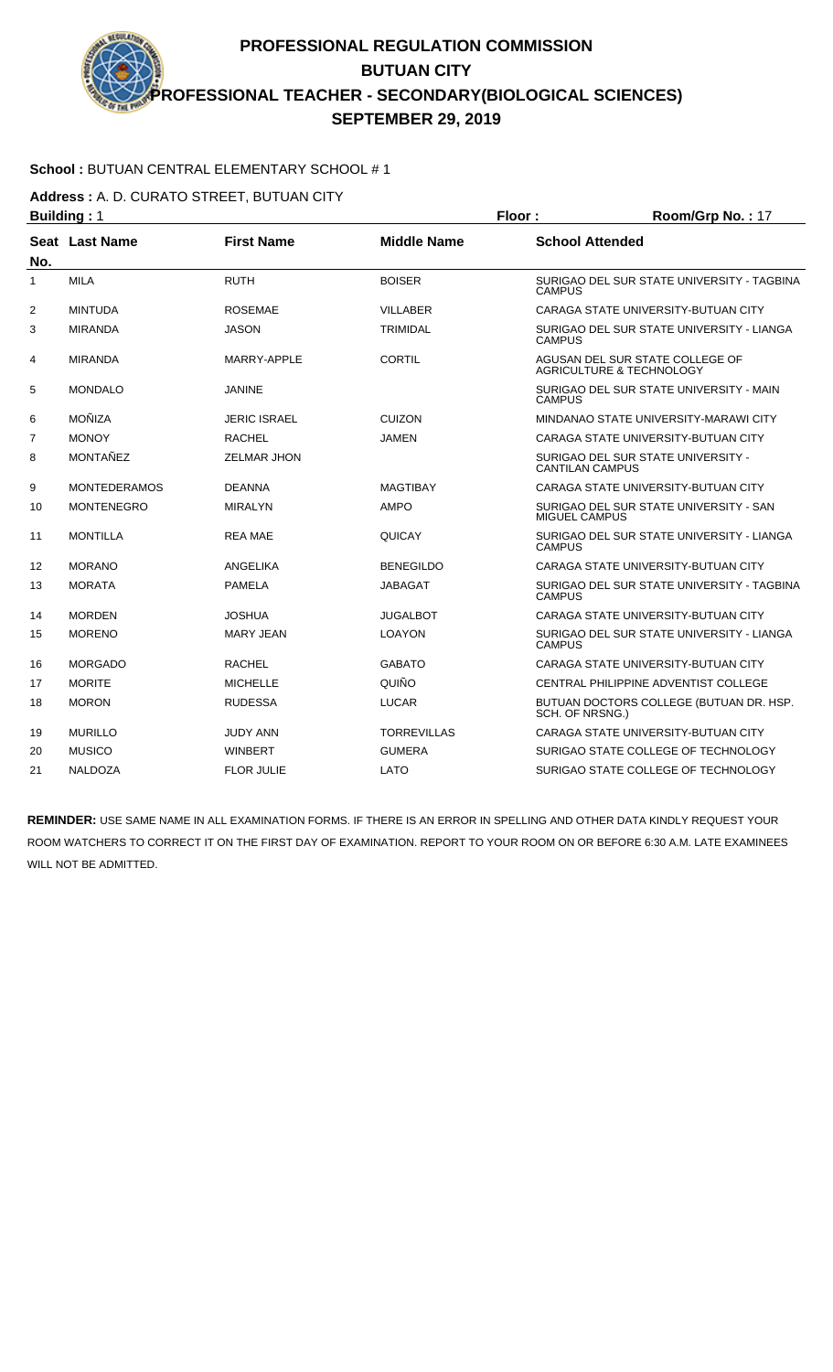### **School :** BUTUAN CENTRAL ELEMENTARY SCHOOL # 1

**Address :** A. D. CURATO STREET, BUTUAN CITY

|     | <b>Building: 1</b>  |                     |                    | Floor:<br>Room/Grp No.: 17 |                                                                        |
|-----|---------------------|---------------------|--------------------|----------------------------|------------------------------------------------------------------------|
| No. | Seat Last Name      | <b>First Name</b>   | <b>Middle Name</b> | <b>School Attended</b>     |                                                                        |
| 1   | <b>MILA</b>         | <b>RUTH</b>         | <b>BOISER</b>      | <b>CAMPUS</b>              | SURIGAO DEL SUR STATE UNIVERSITY - TAGBINA                             |
| 2   | <b>MINTUDA</b>      | <b>ROSEMAE</b>      | <b>VILLABER</b>    |                            | CARAGA STATE UNIVERSITY-BUTUAN CITY                                    |
| 3   | <b>MIRANDA</b>      | <b>JASON</b>        | <b>TRIMIDAL</b>    | <b>CAMPUS</b>              | SURIGAO DEL SUR STATE UNIVERSITY - LIANGA                              |
| 4   | <b>MIRANDA</b>      | MARRY-APPLE         | <b>CORTIL</b>      |                            | AGUSAN DEL SUR STATE COLLEGE OF<br><b>AGRICULTURE &amp; TECHNOLOGY</b> |
| 5   | <b>MONDALO</b>      | <b>JANINE</b>       |                    | <b>CAMPUS</b>              | SURIGAO DEL SUR STATE UNIVERSITY - MAIN                                |
| 6   | MOÑIZA              | <b>JERIC ISRAEL</b> | <b>CUIZON</b>      |                            | MINDANAO STATE UNIVERSITY-MARAWI CITY                                  |
| 7   | <b>MONOY</b>        | <b>RACHEL</b>       | <b>JAMEN</b>       |                            | CARAGA STATE UNIVERSITY-BUTUAN CITY                                    |
| 8   | MONTAÑEZ            | <b>ZELMAR JHON</b>  |                    | <b>CANTILAN CAMPUS</b>     | SURIGAO DEL SUR STATE UNIVERSITY -                                     |
| 9   | <b>MONTEDERAMOS</b> | <b>DEANNA</b>       | <b>MAGTIBAY</b>    |                            | CARAGA STATE UNIVERSITY-BUTUAN CITY                                    |
| 10  | <b>MONTENEGRO</b>   | <b>MIRALYN</b>      | <b>AMPO</b>        | <b>MIGUEL CAMPUS</b>       | SURIGAO DEL SUR STATE UNIVERSITY - SAN                                 |
| 11  | <b>MONTILLA</b>     | <b>REA MAE</b>      | <b>QUICAY</b>      | <b>CAMPUS</b>              | SURIGAO DEL SUR STATE UNIVERSITY - LIANGA                              |
| 12  | <b>MORANO</b>       | ANGELIKA            | <b>BENEGILDO</b>   |                            | CARAGA STATE UNIVERSITY-BUTUAN CITY                                    |
| 13  | <b>MORATA</b>       | <b>PAMELA</b>       | <b>JABAGAT</b>     | <b>CAMPUS</b>              | SURIGAO DEL SUR STATE UNIVERSITY - TAGBINA                             |
| 14  | <b>MORDEN</b>       | <b>JOSHUA</b>       | <b>JUGALBOT</b>    |                            | CARAGA STATE UNIVERSITY-BUTUAN CITY                                    |
| 15  | <b>MORENO</b>       | <b>MARY JEAN</b>    | <b>LOAYON</b>      | <b>CAMPUS</b>              | SURIGAO DEL SUR STATE UNIVERSITY - LIANGA                              |
| 16  | <b>MORGADO</b>      | <b>RACHEL</b>       | <b>GABATO</b>      |                            | CARAGA STATE UNIVERSITY-BUTUAN CITY                                    |
| 17  | <b>MORITE</b>       | <b>MICHELLE</b>     | QUIÑO              |                            | CENTRAL PHILIPPINE ADVENTIST COLLEGE                                   |
| 18  | <b>MORON</b>        | <b>RUDESSA</b>      | <b>LUCAR</b>       | SCH. OF NRSNG.)            | BUTUAN DOCTORS COLLEGE (BUTUAN DR. HSP.                                |
| 19  | <b>MURILLO</b>      | <b>JUDY ANN</b>     | <b>TORREVILLAS</b> |                            | CARAGA STATE UNIVERSITY-BUTUAN CITY                                    |
| 20  | <b>MUSICO</b>       | <b>WINBERT</b>      | <b>GUMERA</b>      |                            | SURIGAO STATE COLLEGE OF TECHNOLOGY                                    |
| 21  | <b>NALDOZA</b>      | <b>FLOR JULIE</b>   | LATO               |                            | SURIGAO STATE COLLEGE OF TECHNOLOGY                                    |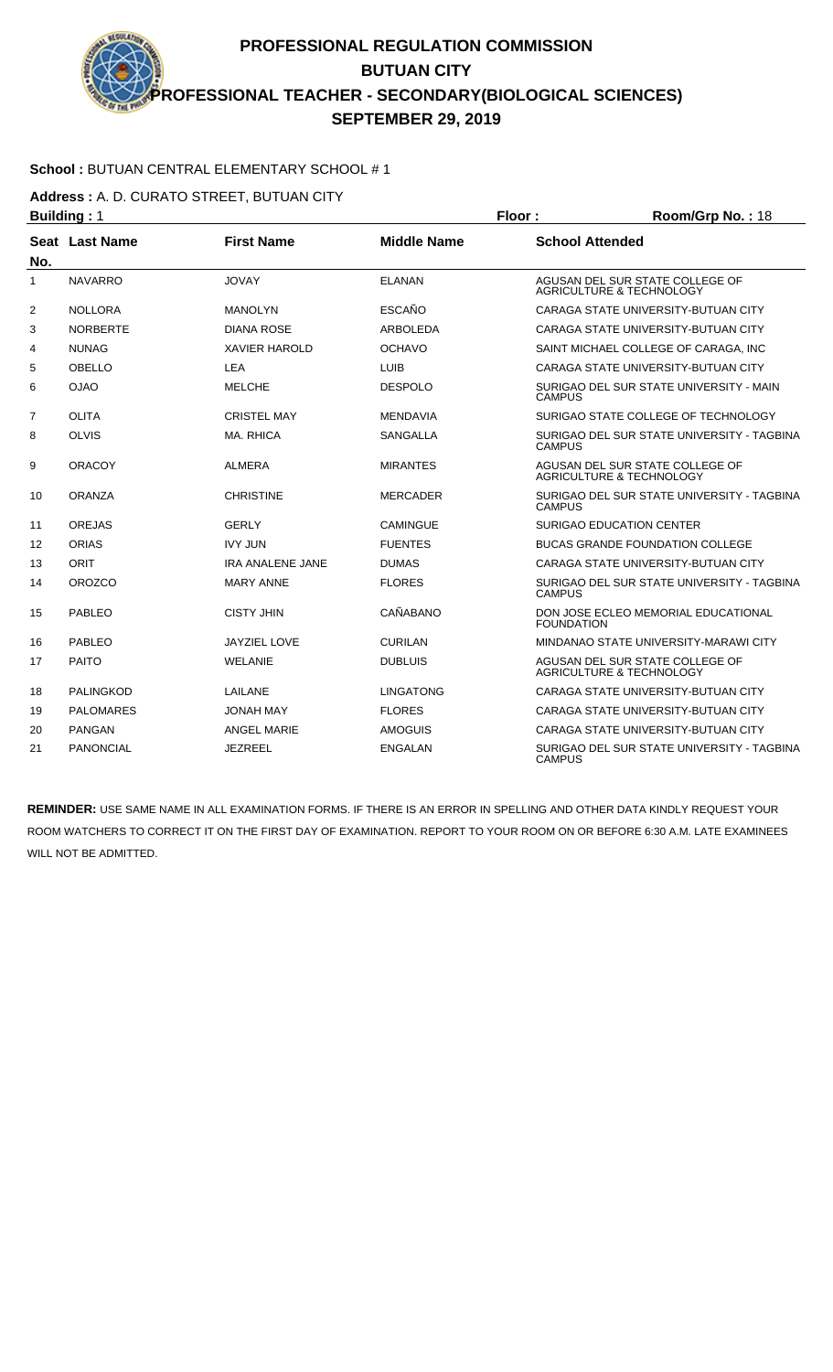### **School :** BUTUAN CENTRAL ELEMENTARY SCHOOL # 1

**Address :** A. D. CURATO STREET, BUTUAN CITY

|                | <b>Building: 1</b> |                         |                    | Floor:                 | Room/Grp No.: 18                                                       |
|----------------|--------------------|-------------------------|--------------------|------------------------|------------------------------------------------------------------------|
| No.            | Seat Last Name     | <b>First Name</b>       | <b>Middle Name</b> | <b>School Attended</b> |                                                                        |
| 1              | <b>NAVARRO</b>     | <b>JOVAY</b>            | <b>ELANAN</b>      |                        | AGUSAN DEL SUR STATE COLLEGE OF<br><b>AGRICULTURE &amp; TECHNOLOGY</b> |
| 2              | <b>NOLLORA</b>     | <b>MANOLYN</b>          | <b>ESCAÑO</b>      |                        | CARAGA STATE UNIVERSITY-BUTUAN CITY                                    |
| 3              | <b>NORBERTE</b>    | <b>DIANA ROSE</b>       | ARBOLEDA           |                        | CARAGA STATE UNIVERSITY-BUTUAN CITY                                    |
| 4              | <b>NUNAG</b>       | <b>XAVIER HAROLD</b>    | <b>OCHAVO</b>      |                        | SAINT MICHAEL COLLEGE OF CARAGA, INC                                   |
| 5              | OBELLO             | <b>LEA</b>              | <b>LUIB</b>        |                        | CARAGA STATE UNIVERSITY-BUTUAN CITY                                    |
| 6              | <b>OJAO</b>        | <b>MELCHE</b>           | <b>DESPOLO</b>     | <b>CAMPUS</b>          | SURIGAO DEL SUR STATE UNIVERSITY - MAIN                                |
| $\overline{7}$ | <b>OLITA</b>       | <b>CRISTEL MAY</b>      | <b>MENDAVIA</b>    |                        | SURIGAO STATE COLLEGE OF TECHNOLOGY                                    |
| 8              | <b>OLVIS</b>       | MA. RHICA               | <b>SANGALLA</b>    | <b>CAMPUS</b>          | SURIGAO DEL SUR STATE UNIVERSITY - TAGBINA                             |
| 9              | <b>ORACOY</b>      | <b>ALMERA</b>           | <b>MIRANTES</b>    |                        | AGUSAN DEL SUR STATE COLLEGE OF<br>AGRICULTURE & TECHNOLOGY            |
| 10             | <b>ORANZA</b>      | <b>CHRISTINE</b>        | <b>MERCADER</b>    | <b>CAMPUS</b>          | SURIGAO DEL SUR STATE UNIVERSITY - TAGBINA                             |
| 11             | <b>OREJAS</b>      | <b>GERLY</b>            | <b>CAMINGUE</b>    |                        | SURIGAO EDUCATION CENTER                                               |
| 12             | <b>ORIAS</b>       | <b>IVY JUN</b>          | <b>FUENTES</b>     |                        | <b>BUCAS GRANDE FOUNDATION COLLEGE</b>                                 |
| 13             | ORIT               | <b>IRA ANALENE JANE</b> | <b>DUMAS</b>       |                        | CARAGA STATE UNIVERSITY-BUTUAN CITY                                    |
| 14             | <b>OROZCO</b>      | <b>MARY ANNE</b>        | <b>FLORES</b>      | <b>CAMPUS</b>          | SURIGAO DEL SUR STATE UNIVERSITY - TAGBINA                             |
| 15             | <b>PABLEO</b>      | <b>CISTY JHIN</b>       | CAÑABANO           | <b>FOUNDATION</b>      | DON JOSE ECLEO MEMORIAL EDUCATIONAL                                    |
| 16             | <b>PABLEO</b>      | <b>JAYZIEL LOVE</b>     | <b>CURILAN</b>     |                        | MINDANAO STATE UNIVERSITY-MARAWI CITY                                  |
| 17             | <b>PAITO</b>       | WELANIE                 | <b>DUBLUIS</b>     |                        | AGUSAN DEL SUR STATE COLLEGE OF<br><b>AGRICULTURE &amp; TECHNOLOGY</b> |
| 18             | <b>PALINGKOD</b>   | LAILANE                 | <b>LINGATONG</b>   |                        | CARAGA STATE UNIVERSITY-BUTUAN CITY                                    |
| 19             | <b>PALOMARES</b>   | <b>JONAH MAY</b>        | <b>FLORES</b>      |                        | CARAGA STATE UNIVERSITY-BUTUAN CITY                                    |
| 20             | <b>PANGAN</b>      | <b>ANGEL MARIE</b>      | <b>AMOGUIS</b>     |                        | CARAGA STATE UNIVERSITY-BUTUAN CITY                                    |
| 21             | <b>PANONCIAL</b>   | JEZREEL                 | <b>ENGALAN</b>     | <b>CAMPUS</b>          | SURIGAO DEL SUR STATE UNIVERSITY - TAGBINA                             |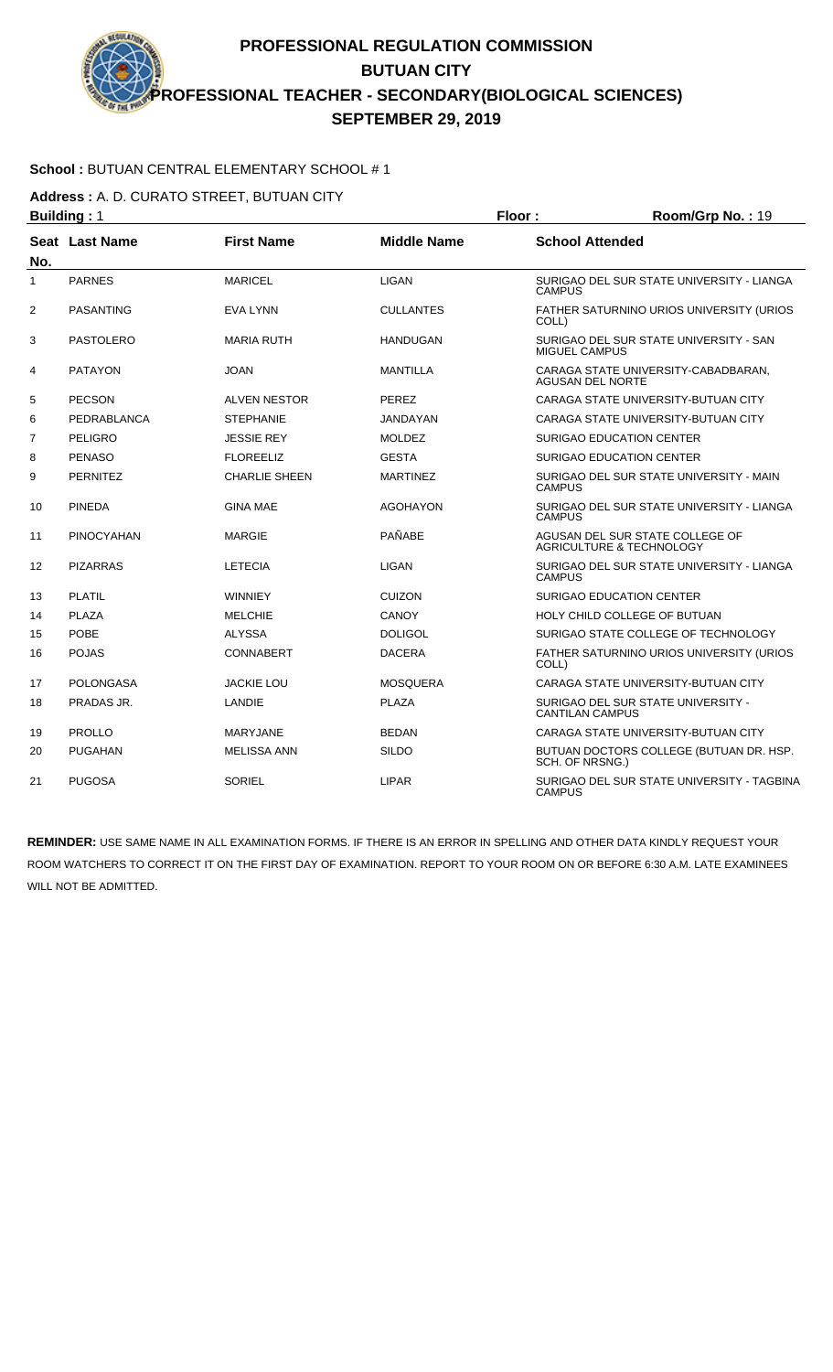### **School :** BUTUAN CENTRAL ELEMENTARY SCHOOL # 1

**Address :** A. D. CURATO STREET, BUTUAN CITY

|     | <b>Building: 1</b> |                      |                    | Floor:                  | Room/Grp No.: 19                                                       |
|-----|--------------------|----------------------|--------------------|-------------------------|------------------------------------------------------------------------|
| No. | Seat Last Name     | <b>First Name</b>    | <b>Middle Name</b> | <b>School Attended</b>  |                                                                        |
| 1   | <b>PARNES</b>      | <b>MARICEL</b>       | <b>LIGAN</b>       | <b>CAMPUS</b>           | SURIGAO DEL SUR STATE UNIVERSITY - LIANGA                              |
| 2   | <b>PASANTING</b>   | <b>EVA LYNN</b>      | <b>CULLANTES</b>   | COLL)                   | FATHER SATURNINO URIOS UNIVERSITY (URIOS                               |
| 3   | <b>PASTOLERO</b>   | <b>MARIA RUTH</b>    | <b>HANDUGAN</b>    | <b>MIGUEL CAMPUS</b>    | SURIGAO DEL SUR STATE UNIVERSITY - SAN                                 |
| 4   | <b>PATAYON</b>     | <b>JOAN</b>          | <b>MANTILLA</b>    | <b>AGUSAN DEL NORTE</b> | CARAGA STATE UNIVERSITY-CABADBARAN,                                    |
| 5   | <b>PECSON</b>      | <b>ALVEN NESTOR</b>  | PEREZ              |                         | CARAGA STATE UNIVERSITY-BUTUAN CITY                                    |
| 6   | PEDRABLANCA        | <b>STEPHANIE</b>     | <b>JANDAYAN</b>    |                         | CARAGA STATE UNIVERSITY-BUTUAN CITY                                    |
| 7   | <b>PELIGRO</b>     | JESSIE REY           | <b>MOLDEZ</b>      |                         | <b>SURIGAO EDUCATION CENTER</b>                                        |
| 8   | <b>PENASO</b>      | <b>FLOREELIZ</b>     | <b>GESTA</b>       |                         | <b>SURIGAO EDUCATION CENTER</b>                                        |
| 9   | <b>PERNITEZ</b>    | <b>CHARLIE SHEEN</b> | <b>MARTINEZ</b>    | <b>CAMPUS</b>           | SURIGAO DEL SUR STATE UNIVERSITY - MAIN                                |
| 10  | <b>PINEDA</b>      | <b>GINA MAE</b>      | <b>AGOHAYON</b>    | <b>CAMPUS</b>           | SURIGAO DEL SUR STATE UNIVERSITY - LIANGA                              |
| 11  | <b>PINOCYAHAN</b>  | <b>MARGIE</b>        | PAÑABE             |                         | AGUSAN DEL SUR STATE COLLEGE OF<br><b>AGRICULTURE &amp; TECHNOLOGY</b> |
| 12  | <b>PIZARRAS</b>    | <b>LETECIA</b>       | LIGAN              | <b>CAMPUS</b>           | SURIGAO DEL SUR STATE UNIVERSITY - LIANGA                              |
| 13  | <b>PLATIL</b>      | <b>WINNIEY</b>       | <b>CUIZON</b>      |                         | <b>SURIGAO EDUCATION CENTER</b>                                        |
| 14  | <b>PLAZA</b>       | <b>MELCHIE</b>       | CANOY              |                         | HOLY CHILD COLLEGE OF BUTUAN                                           |
| 15  | <b>POBE</b>        | <b>ALYSSA</b>        | <b>DOLIGOL</b>     |                         | SURIGAO STATE COLLEGE OF TECHNOLOGY                                    |
| 16  | <b>POJAS</b>       | <b>CONNABERT</b>     | <b>DACERA</b>      | COLL)                   | FATHER SATURNINO URIOS UNIVERSITY (URIOS                               |
| 17  | <b>POLONGASA</b>   | <b>JACKIE LOU</b>    | <b>MOSQUERA</b>    |                         | CARAGA STATE UNIVERSITY-BUTUAN CITY                                    |
| 18  | PRADAS JR.         | LANDIE               | <b>PLAZA</b>       | <b>CANTILAN CAMPUS</b>  | SURIGAO DEL SUR STATE UNIVERSITY -                                     |
| 19  | <b>PROLLO</b>      | MARYJANE             | <b>BEDAN</b>       |                         | CARAGA STATE UNIVERSITY-BUTUAN CITY                                    |
| 20  | <b>PUGAHAN</b>     | <b>MELISSA ANN</b>   | <b>SILDO</b>       | SCH. OF NRSNG.)         | BUTUAN DOCTORS COLLEGE (BUTUAN DR. HSP.                                |
| 21  | <b>PUGOSA</b>      | SORIEL               | <b>LIPAR</b>       | <b>CAMPUS</b>           | SURIGAO DEL SUR STATE UNIVERSITY - TAGBINA                             |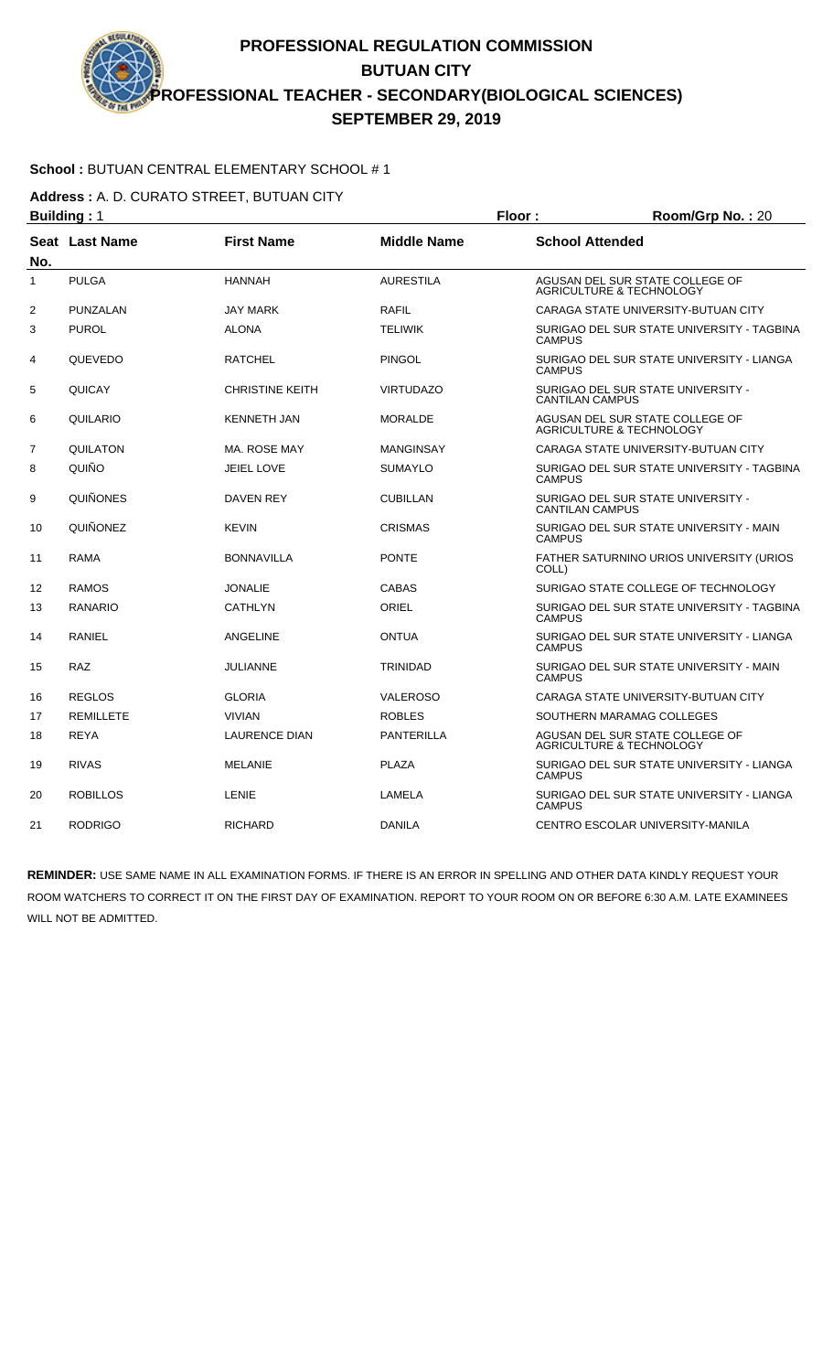### **School :** BUTUAN CENTRAL ELEMENTARY SCHOOL # 1

**Address :** A. D. CURATO STREET, BUTUAN CITY

|              | <b>Building: 1</b> |                        |                    | Floor:<br>Room/Grp No.: 20 |                                                                        |
|--------------|--------------------|------------------------|--------------------|----------------------------|------------------------------------------------------------------------|
| No.          | Seat Last Name     | <b>First Name</b>      | <b>Middle Name</b> | <b>School Attended</b>     |                                                                        |
| $\mathbf{1}$ | <b>PULGA</b>       | <b>HANNAH</b>          | <b>AURESTILA</b>   |                            | AGUSAN DEL SUR STATE COLLEGE OF<br><b>AGRICULTURE &amp; TECHNOLOGY</b> |
| 2            | PUNZALAN           | <b>JAY MARK</b>        | <b>RAFIL</b>       |                            | CARAGA STATE UNIVERSITY-BUTUAN CITY                                    |
| 3            | <b>PUROL</b>       | <b>ALONA</b>           | <b>TELIWIK</b>     | <b>CAMPUS</b>              | SURIGAO DEL SUR STATE UNIVERSITY - TAGBINA                             |
| 4            | QUEVEDO            | <b>RATCHEL</b>         | <b>PINGOL</b>      | <b>CAMPUS</b>              | SURIGAO DEL SUR STATE UNIVERSITY - LIANGA                              |
| 5            | QUICAY             | <b>CHRISTINE KEITH</b> | <b>VIRTUDAZO</b>   | <b>CANTILAN CAMPUS</b>     | SURIGAO DEL SUR STATE UNIVERSITY -                                     |
| 6            | QUILARIO           | <b>KENNETH JAN</b>     | <b>MORALDE</b>     |                            | AGUSAN DEL SUR STATE COLLEGE OF<br><b>AGRICULTURE &amp; TECHNOLOGY</b> |
| 7            | QUILATON           | MA. ROSE MAY           | <b>MANGINSAY</b>   |                            | CARAGA STATE UNIVERSITY-BUTUAN CITY                                    |
| 8            | QUIÑO              | <b>JEIEL LOVE</b>      | <b>SUMAYLO</b>     | <b>CAMPUS</b>              | SURIGAO DEL SUR STATE UNIVERSITY - TAGBINA                             |
| 9            | QUIÑONES           | <b>DAVEN REY</b>       | <b>CUBILLAN</b>    | <b>CANTILAN CAMPUS</b>     | SURIGAO DEL SUR STATE UNIVERSITY -                                     |
| 10           | QUIÑONEZ           | <b>KEVIN</b>           | <b>CRISMAS</b>     | <b>CAMPUS</b>              | SURIGAO DEL SUR STATE UNIVERSITY - MAIN                                |
| 11           | <b>RAMA</b>        | <b>BONNAVILLA</b>      | <b>PONTE</b>       | COLL)                      | FATHER SATURNINO URIOS UNIVERSITY (URIOS                               |
| 12           | <b>RAMOS</b>       | <b>JONALIE</b>         | <b>CABAS</b>       |                            | SURIGAO STATE COLLEGE OF TECHNOLOGY                                    |
| 13           | RANARIO            | <b>CATHLYN</b>         | ORIEL              | <b>CAMPUS</b>              | SURIGAO DEL SUR STATE UNIVERSITY - TAGBINA                             |
| 14           | <b>RANIEL</b>      | ANGELINE               | <b>ONTUA</b>       | <b>CAMPUS</b>              | SURIGAO DEL SUR STATE UNIVERSITY - LIANGA                              |
| 15           | <b>RAZ</b>         | <b>JULIANNE</b>        | <b>TRINIDAD</b>    | <b>CAMPUS</b>              | SURIGAO DEL SUR STATE UNIVERSITY - MAIN                                |
| 16           | <b>REGLOS</b>      | <b>GLORIA</b>          | <b>VALEROSO</b>    |                            | CARAGA STATE UNIVERSITY-BUTUAN CITY                                    |
| 17           | <b>REMILLETE</b>   | <b>VIVIAN</b>          | <b>ROBLES</b>      |                            | SOUTHERN MARAMAG COLLEGES                                              |
| 18           | <b>REYA</b>        | <b>LAURENCE DIAN</b>   | <b>PANTERILLA</b>  |                            | AGUSAN DEL SUR STATE COLLEGE OF<br>AGRICULTURE & TECHNOLOGY            |
| 19           | <b>RIVAS</b>       | <b>MELANIE</b>         | <b>PLAZA</b>       | <b>CAMPUS</b>              | SURIGAO DEL SUR STATE UNIVERSITY - LIANGA                              |
| 20           | <b>ROBILLOS</b>    | LENIE                  | LAMELA             | <b>CAMPUS</b>              | SURIGAO DEL SUR STATE UNIVERSITY - LIANGA                              |
| 21           | <b>RODRIGO</b>     | <b>RICHARD</b>         | <b>DANILA</b>      |                            | CENTRO ESCOLAR UNIVERSITY-MANILA                                       |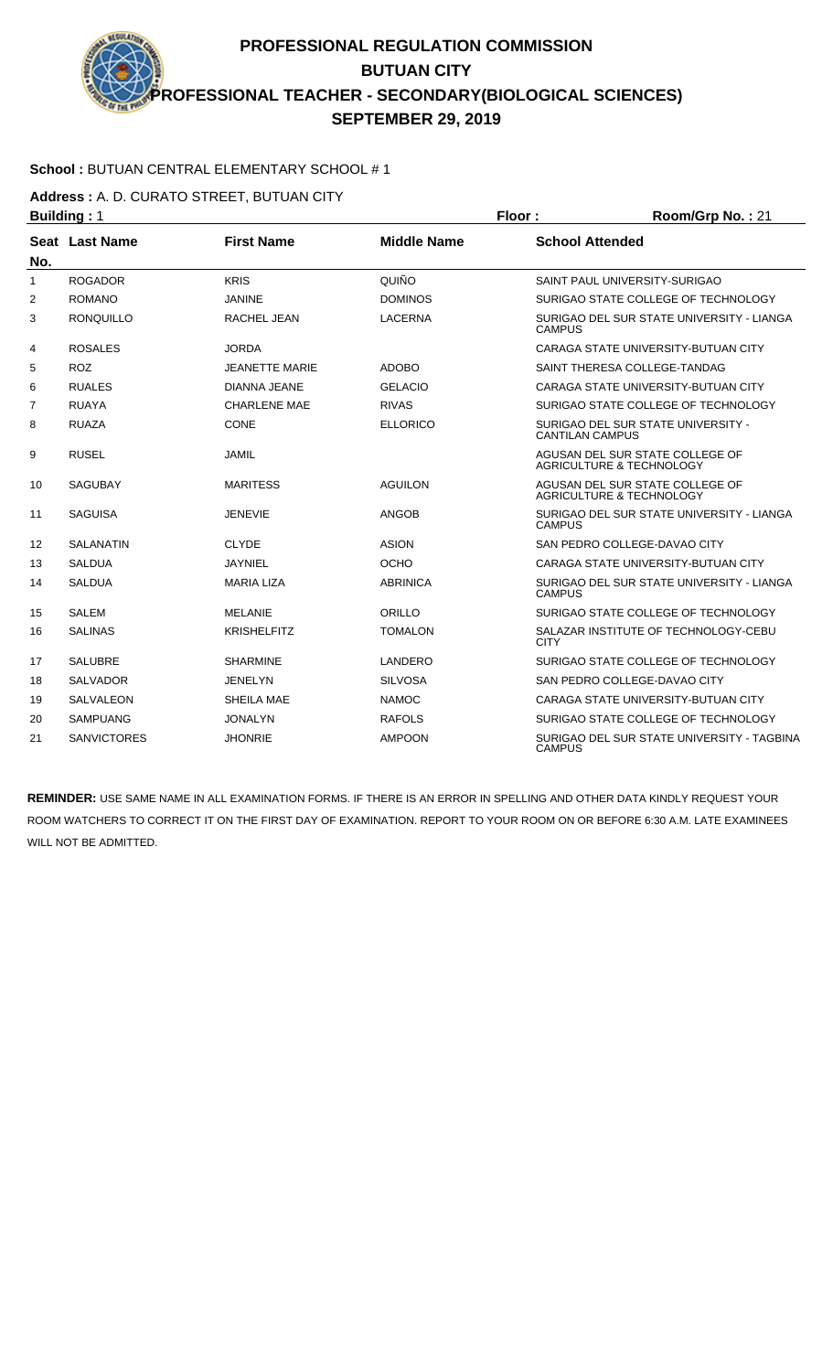### **School :** BUTUAN CENTRAL ELEMENTARY SCHOOL # 1

**Address :** A. D. CURATO STREET, BUTUAN CITY

|              | <b>Building: 1</b> |                       |                    | Floor:                 | Room/Grp No.: 21                                            |
|--------------|--------------------|-----------------------|--------------------|------------------------|-------------------------------------------------------------|
| No.          | Seat Last Name     | <b>First Name</b>     | <b>Middle Name</b> | <b>School Attended</b> |                                                             |
| $\mathbf{1}$ | <b>ROGADOR</b>     | <b>KRIS</b>           | QUIÑO              |                        | SAINT PAUL UNIVERSITY-SURIGAO                               |
| 2            | <b>ROMANO</b>      | <b>JANINE</b>         | <b>DOMINOS</b>     |                        | SURIGAO STATE COLLEGE OF TECHNOLOGY                         |
| 3            | <b>RONQUILLO</b>   | RACHEL JEAN           | <b>LACERNA</b>     | <b>CAMPUS</b>          | SURIGAO DEL SUR STATE UNIVERSITY - LIANGA                   |
| 4            | <b>ROSALES</b>     | <b>JORDA</b>          |                    |                        | CARAGA STATE UNIVERSITY-BUTUAN CITY                         |
| 5            | <b>ROZ</b>         | <b>JEANETTE MARIE</b> | <b>ADOBO</b>       |                        | SAINT THERESA COLLEGE-TANDAG                                |
| 6            | <b>RUALES</b>      | <b>DIANNA JEANE</b>   | <b>GELACIO</b>     |                        | CARAGA STATE UNIVERSITY-BUTUAN CITY                         |
| 7            | <b>RUAYA</b>       | <b>CHARLENE MAE</b>   | <b>RIVAS</b>       |                        | SURIGAO STATE COLLEGE OF TECHNOLOGY                         |
| 8            | <b>RUAZA</b>       | CONE                  | <b>ELLORICO</b>    | <b>CANTILAN CAMPUS</b> | SURIGAO DEL SUR STATE UNIVERSITY -                          |
| 9            | <b>RUSEL</b>       | <b>JAMIL</b>          |                    |                        | AGUSAN DEL SUR STATE COLLEGE OF<br>AGRICULTURE & TECHNOLOGY |
| 10           | <b>SAGUBAY</b>     | <b>MARITESS</b>       | <b>AGUILON</b>     |                        | AGUSAN DEL SUR STATE COLLEGE OF<br>AGRICULTURE & TECHNOLOGY |
| 11           | <b>SAGUISA</b>     | <b>JENEVIE</b>        | <b>ANGOB</b>       | <b>CAMPUS</b>          | SURIGAO DEL SUR STATE UNIVERSITY - LIANGA                   |
| 12           | <b>SALANATIN</b>   | <b>CLYDE</b>          | <b>ASION</b>       |                        | SAN PEDRO COLLEGE-DAVAO CITY                                |
| 13           | <b>SALDUA</b>      | JAYNIEL               | <b>OCHO</b>        |                        | CARAGA STATE UNIVERSITY-BUTUAN CITY                         |
| 14           | SALDUA             | <b>MARIA LIZA</b>     | <b>ABRINICA</b>    | <b>CAMPUS</b>          | SURIGAO DEL SUR STATE UNIVERSITY - LIANGA                   |
| 15           | <b>SALEM</b>       | <b>MELANIE</b>        | ORILLO             |                        | SURIGAO STATE COLLEGE OF TECHNOLOGY                         |
| 16           | <b>SALINAS</b>     | <b>KRISHELFITZ</b>    | <b>TOMALON</b>     | <b>CITY</b>            | SALAZAR INSTITUTE OF TECHNOLOGY-CEBU                        |
| 17           | <b>SALUBRE</b>     | <b>SHARMINE</b>       | LANDERO            |                        | SURIGAO STATE COLLEGE OF TECHNOLOGY                         |
| 18           | <b>SALVADOR</b>    | <b>JENELYN</b>        | <b>SILVOSA</b>     |                        | SAN PEDRO COLLEGE-DAVAO CITY                                |
| 19           | SALVALEON          | SHEILA MAE            | <b>NAMOC</b>       |                        | CARAGA STATE UNIVERSITY-BUTUAN CITY                         |
| 20           | SAMPUANG           | <b>JONALYN</b>        | <b>RAFOLS</b>      |                        | SURIGAO STATE COLLEGE OF TECHNOLOGY                         |
| 21           | <b>SANVICTORES</b> | <b>JHONRIE</b>        | <b>AMPOON</b>      | <b>CAMPUS</b>          | SURIGAO DEL SUR STATE UNIVERSITY - TAGBINA                  |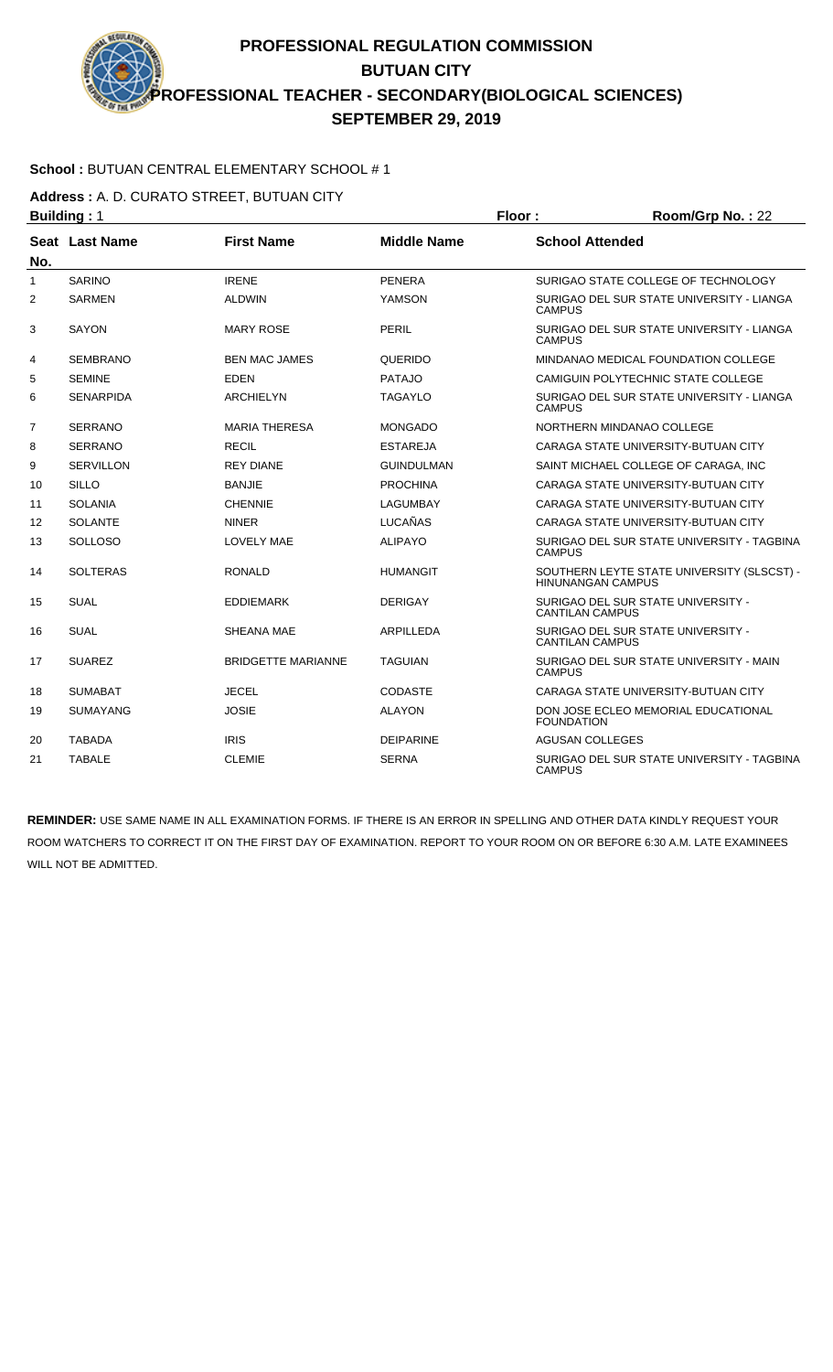### **School :** BUTUAN CENTRAL ELEMENTARY SCHOOL # 1

**Address :** A. D. CURATO STREET, BUTUAN CITY

|                | <b>Building: 1</b> |                           |                    | Floor:                   | Room/Grp No.: 22                           |
|----------------|--------------------|---------------------------|--------------------|--------------------------|--------------------------------------------|
| No.            | Seat Last Name     | <b>First Name</b>         | <b>Middle Name</b> | <b>School Attended</b>   |                                            |
| $\mathbf{1}$   | <b>SARINO</b>      | <b>IRENE</b>              | <b>PENERA</b>      |                          | SURIGAO STATE COLLEGE OF TECHNOLOGY        |
| 2              | <b>SARMEN</b>      | <b>ALDWIN</b>             | YAMSON             | <b>CAMPUS</b>            | SURIGAO DEL SUR STATE UNIVERSITY - LIANGA  |
| 3              | <b>SAYON</b>       | <b>MARY ROSE</b>          | PERIL              | <b>CAMPUS</b>            | SURIGAO DEL SUR STATE UNIVERSITY - LIANGA  |
| 4              | <b>SEMBRANO</b>    | <b>BEN MAC JAMES</b>      | QUERIDO            |                          | MINDANAO MEDICAL FOUNDATION COLLEGE        |
| 5              | <b>SEMINE</b>      | <b>EDEN</b>               | <b>PATAJO</b>      |                          | CAMIGUIN POLYTECHNIC STATE COLLEGE         |
| 6              | <b>SENARPIDA</b>   | <b>ARCHIELYN</b>          | <b>TAGAYLO</b>     | <b>CAMPUS</b>            | SURIGAO DEL SUR STATE UNIVERSITY - LIANGA  |
| $\overline{7}$ | <b>SERRANO</b>     | <b>MARIA THERESA</b>      | <b>MONGADO</b>     |                          | NORTHERN MINDANAO COLLEGE                  |
| 8              | <b>SERRANO</b>     | <b>RECIL</b>              | <b>ESTAREJA</b>    |                          | CARAGA STATE UNIVERSITY-BUTUAN CITY        |
| 9              | <b>SERVILLON</b>   | <b>REY DIANE</b>          | <b>GUINDULMAN</b>  |                          | SAINT MICHAEL COLLEGE OF CARAGA. INC       |
| 10             | <b>SILLO</b>       | <b>BANJIE</b>             | <b>PROCHINA</b>    |                          | CARAGA STATE UNIVERSITY-BUTUAN CITY        |
| 11             | <b>SOLANIA</b>     | <b>CHENNIE</b>            | <b>LAGUMBAY</b>    |                          | CARAGA STATE UNIVERSITY-BUTUAN CITY        |
| 12             | <b>SOLANTE</b>     | <b>NINER</b>              | <b>LUCAÑAS</b>     |                          | CARAGA STATE UNIVERSITY-BUTUAN CITY        |
| 13             | <b>SOLLOSO</b>     | <b>LOVELY MAE</b>         | <b>ALIPAYO</b>     | <b>CAMPUS</b>            | SURIGAO DEL SUR STATE UNIVERSITY - TAGBINA |
| 14             | <b>SOLTERAS</b>    | <b>RONALD</b>             | <b>HUMANGIT</b>    | <b>HINUNANGAN CAMPUS</b> | SOUTHERN LEYTE STATE UNIVERSITY (SLSCST) - |
| 15             | <b>SUAL</b>        | <b>EDDIEMARK</b>          | <b>DERIGAY</b>     | <b>CANTILAN CAMPUS</b>   | SURIGAO DEL SUR STATE UNIVERSITY -         |
| 16             | <b>SUAL</b>        | SHEANA MAE                | <b>ARPILLEDA</b>   | <b>CANTILAN CAMPUS</b>   | SURIGAO DEL SUR STATE UNIVERSITY -         |
| 17             | <b>SUAREZ</b>      | <b>BRIDGETTE MARIANNE</b> | <b>TAGUIAN</b>     | <b>CAMPUS</b>            | SURIGAO DEL SUR STATE UNIVERSITY - MAIN    |
| 18             | <b>SUMABAT</b>     | <b>JECEL</b>              | <b>CODASTE</b>     |                          | CARAGA STATE UNIVERSITY-BUTUAN CITY        |
| 19             | <b>SUMAYANG</b>    | <b>JOSIE</b>              | <b>ALAYON</b>      | <b>FOUNDATION</b>        | DON JOSE ECLEO MEMORIAL EDUCATIONAL        |
| 20             | <b>TABADA</b>      | <b>IRIS</b>               | <b>DEIPARINE</b>   | AGUSAN COLLEGES          |                                            |
| 21             | <b>TABALE</b>      | <b>CLEMIE</b>             | <b>SERNA</b>       | <b>CAMPUS</b>            | SURIGAO DEL SUR STATE UNIVERSITY - TAGBINA |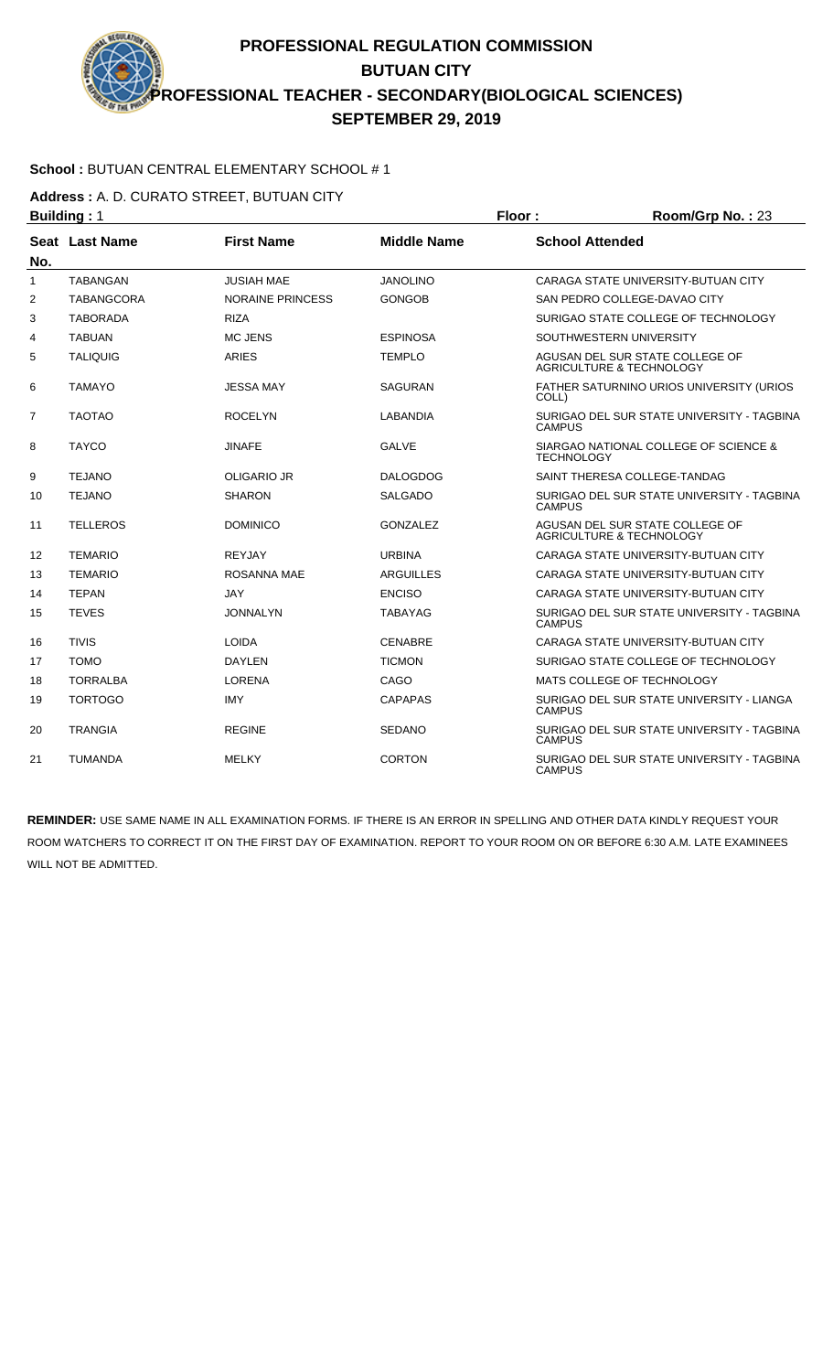### **School :** BUTUAN CENTRAL ELEMENTARY SCHOOL # 1

**Address :** A. D. CURATO STREET, BUTUAN CITY

|                | <b>Building: 1</b> |                         |                    | Floor:                 | Room/Grp No.: 23                                                       |
|----------------|--------------------|-------------------------|--------------------|------------------------|------------------------------------------------------------------------|
| No.            | Seat Last Name     | <b>First Name</b>       | <b>Middle Name</b> | <b>School Attended</b> |                                                                        |
| 1              | <b>TABANGAN</b>    | JUSIAH MAE              | <b>JANOLINO</b>    |                        | CARAGA STATE UNIVERSITY-BUTUAN CITY                                    |
| 2              | <b>TABANGCORA</b>  | <b>NORAINE PRINCESS</b> | <b>GONGOB</b>      |                        | SAN PEDRO COLLEGE-DAVAO CITY                                           |
| 3              | <b>TABORADA</b>    | <b>RIZA</b>             |                    |                        | SURIGAO STATE COLLEGE OF TECHNOLOGY                                    |
| 4              | <b>TABUAN</b>      | <b>MC JENS</b>          | <b>ESPINOSA</b>    |                        | SOUTHWESTERN UNIVERSITY                                                |
| 5              | <b>TALIQUIG</b>    | <b>ARIES</b>            | <b>TEMPLO</b>      |                        | AGUSAN DEL SUR STATE COLLEGE OF<br><b>AGRICULTURE &amp; TECHNOLOGY</b> |
| 6              | <b>TAMAYO</b>      | JESSA MAY               | <b>SAGURAN</b>     | COLL)                  | FATHER SATURNINO URIOS UNIVERSITY (URIOS                               |
| $\overline{7}$ | <b>TAOTAO</b>      | <b>ROCELYN</b>          | <b>LABANDIA</b>    | <b>CAMPUS</b>          | SURIGAO DEL SUR STATE UNIVERSITY - TAGBINA                             |
| 8              | <b>TAYCO</b>       | JINAFE                  | <b>GALVE</b>       | <b>TECHNOLOGY</b>      | SIARGAO NATIONAL COLLEGE OF SCIENCE &                                  |
| 9              | <b>TEJANO</b>      | <b>OLIGARIO JR</b>      | <b>DALOGDOG</b>    |                        | SAINT THERESA COLLEGE-TANDAG                                           |
| 10             | <b>TEJANO</b>      | <b>SHARON</b>           | <b>SALGADO</b>     | <b>CAMPUS</b>          | SURIGAO DEL SUR STATE UNIVERSITY - TAGBINA                             |
| 11             | <b>TELLEROS</b>    | <b>DOMINICO</b>         | <b>GONZALEZ</b>    |                        | AGUSAN DEL SUR STATE COLLEGE OF<br><b>AGRICULTURE &amp; TECHNOLOGY</b> |
| 12             | <b>TEMARIO</b>     | <b>REYJAY</b>           | <b>URBINA</b>      |                        | CARAGA STATE UNIVERSITY-BUTUAN CITY                                    |
| 13             | <b>TEMARIO</b>     | ROSANNA MAE             | <b>ARGUILLES</b>   |                        | CARAGA STATE UNIVERSITY-BUTUAN CITY                                    |
| 14             | <b>TEPAN</b>       | <b>JAY</b>              | <b>ENCISO</b>      |                        | CARAGA STATE UNIVERSITY-BUTUAN CITY                                    |
| 15             | <b>TEVES</b>       | <b>JONNALYN</b>         | TABAYAG            | <b>CAMPUS</b>          | SURIGAO DEL SUR STATE UNIVERSITY - TAGBINA                             |
| 16             | <b>TIVIS</b>       | <b>LOIDA</b>            | <b>CENABRE</b>     |                        | CARAGA STATE UNIVERSITY-BUTUAN CITY                                    |
| 17             | <b>TOMO</b>        | <b>DAYLEN</b>           | <b>TICMON</b>      |                        | SURIGAO STATE COLLEGE OF TECHNOLOGY                                    |
| 18             | <b>TORRALBA</b>    | <b>LORENA</b>           | CAGO               |                        | MATS COLLEGE OF TECHNOLOGY                                             |
| 19             | <b>TORTOGO</b>     | <b>IMY</b>              | <b>CAPAPAS</b>     | <b>CAMPUS</b>          | SURIGAO DEL SUR STATE UNIVERSITY - LIANGA                              |
| 20             | <b>TRANGIA</b>     | <b>REGINE</b>           | <b>SEDANO</b>      | <b>CAMPUS</b>          | SURIGAO DEL SUR STATE UNIVERSITY - TAGBINA                             |
| 21             | <b>TUMANDA</b>     | <b>MELKY</b>            | <b>CORTON</b>      | <b>CAMPUS</b>          | SURIGAO DEL SUR STATE UNIVERSITY - TAGBINA                             |